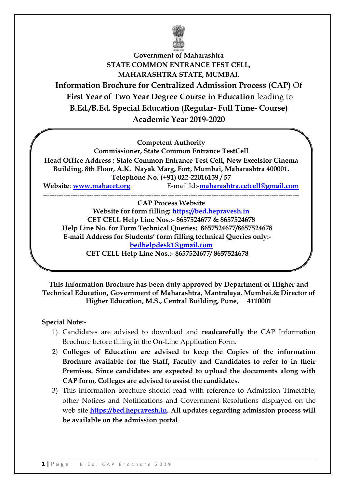

**Government of Maharashtra STATE COMMON ENTRANCE TEST CELL, MAHARASHTRA STATE, MUMBAI. Information Brochure for Centralized Admission Process (CAP)** Of **First Year of Two Year Degree Course in Education** leading to **B.Ed./B.Ed. Special Education (Regular- Full Time- Course) Academic Year 2019-2020**

**Competent Authority**

**Commissioner, State Common Entrance TestCell**

**Head Office Address : State Common Entrance Test Cell, New Excelsior Cinema Building, 8th Floor, A.K. Nayak Marg, Fort, Mumbai, Maharashtra 400001. Telephone No. (+91) 022-22016159 / 57**

**Website**: **[www.mahacet.org](http://www.mahacet.org:%20%20(CET)** E-mail Id:-**[maharashtra.cetcell@gmail.com](mailto:maharashtra.cetcell@gmail.com)** ---------------------------------------------------------------------------------------------------------------

**CAP Process Website Website for form filling: https://bed.hepravesh.in CET CELL Help Line Nos.:- 8657524677 & 8657524678 Help Line No. for Form Technical Queries: 8657524677/8657524678 E-mail Address for Students' form filling technical Queries only: bedhelpdesk1@gmail.com CET CELL Help Line Nos.:- 8657524677/ 8657524678**

**This Information Brochure has been duly approved by Department of Higher and Technical Education, Government of Maharashtra, Mantralaya, Mumbai.& Director of Higher Education, M.S., Central Building, Pune, 4110001**

# **Special Note:-**

- 1) Candidates are advised to download and **readcarefully** the CAP Information Brochure before filling in the On-Line Application Form.
- 2) **Colleges of Education are advised to keep the Copies of the information Brochure available for the Staff, Faculty and Candidates to refer to in their Premises. Since candidates are expected to upload the documents along with CAP form, Colleges are advised to assist the candidates.**
- 3) This information brochure should read with reference to Admission Timetable, other Notices and Notifications and Government Resolutions displayed on the web site **[https://bed.hepravesh.in.](http://bed.hepravesh.in/) All updates regarding admission process will be available on the admission portal**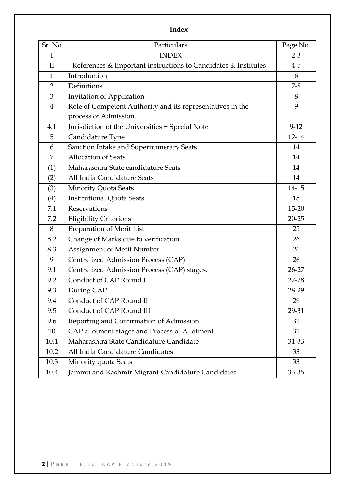# **Index**

| Sr. No         | Particulars                                                    | Page No.  |
|----------------|----------------------------------------------------------------|-----------|
| I              | <b>INDEX</b>                                                   | $2 - 3$   |
| $\mathbf{I}$   | References & Important instructions to Candidates & Institutes | $4 - 5$   |
| $\mathbf{1}$   | Introduction                                                   | 6         |
| $\overline{2}$ | Definitions                                                    | $7 - 8$   |
| 3              | Invitation of Application                                      | 8         |
| $\overline{4}$ | Role of Competent Authority and its representatives in the     | 9         |
|                | process of Admission.                                          |           |
| 4.1            | Jurisdiction of the Universities + Special Note                | $9-12$    |
| 5              | Candidature Type                                               | 12-14     |
| 6              | Sanction Intake and Supernumerary Seats                        | 14        |
| $\overline{7}$ | <b>Allocation of Seats</b>                                     | 14        |
| (1)            | Maharashtra State candidature Seats                            | 14        |
| (2)            | All India Candidature Seats                                    | 14        |
| (3)            | <b>Minority Quota Seats</b>                                    | 14-15     |
| (4)            | <b>Institutional Quota Seats</b>                               | 15        |
| 7.1            | Reservations                                                   | $15 - 20$ |
| 7.2            | <b>Eligibility Criterions</b>                                  | $20 - 25$ |
| 8              | Preparation of Merit List                                      | 25        |
| 8.2            | Change of Marks due to verification                            | 26        |
| 8.3            | Assignment of Merit Number                                     | 26        |
| 9              | Centralized Admission Process (CAP)                            | 26        |
| 9.1            | Centralized Admission Process (CAP) stages.                    | $26 - 27$ |
| 9.2            | Conduct of CAP Round I                                         | 27-28     |
| 9.3            | During CAP                                                     | 28-29     |
| 9.4            | Conduct of CAP Round II                                        | 29        |
| 9.5            | Conduct of CAP Round III                                       | 29-31     |
| 9.6            | Reporting and Confirmation of Admission                        | 31        |
| 10             | CAP allotment stages and Process of Allotment                  | 31        |
| 10.1           | Maharashtra State Candidature Candidate                        | 31-33     |
| 10.2           | All India Candidature Candidates                               | 33        |
| 10.3           | Minority quota Seats                                           | 33        |
| 10.4           | Jammu and Kashmir Migrant Candidature Candidates               | 33-35     |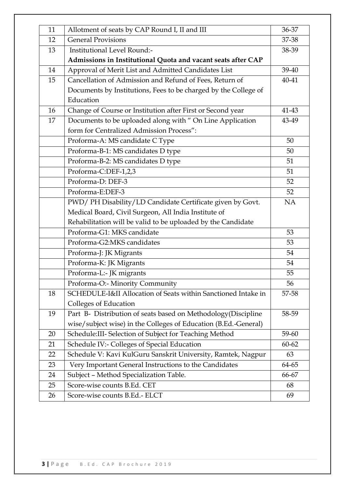| 11 | Allotment of seats by CAP Round I, II and III                   | 36-37     |
|----|-----------------------------------------------------------------|-----------|
| 12 | <b>General Provisions</b>                                       | 37-38     |
| 13 | Institutional Level Round:-                                     | 38-39     |
|    | Admissions in Institutional Quota and vacant seats after CAP    |           |
| 14 | Approval of Merit List and Admitted Candidates List             | 39-40     |
| 15 | Cancellation of Admission and Refund of Fees, Return of         | $40 - 41$ |
|    | Documents by Institutions, Fees to be charged by the College of |           |
|    | Education                                                       |           |
| 16 | Change of Course or Institution after First or Second year      | 41-43     |
| 17 | Documents to be uploaded along with " On Line Application       | 43-49     |
|    | form for Centralized Admission Process":                        |           |
|    | Proforma-A: MS candidate C Type                                 | 50        |
|    | Proforma-B-1: MS candidates D type                              | 50        |
|    | Proforma-B-2: MS candidates D type                              | 51        |
|    | Proforma-C:DEF-1,2,3                                            | 51        |
|    | Proforma-D: DEF-3                                               | 52        |
|    | Proforma-E:DEF-3                                                | 52        |
|    | PWD/ PH Disability/LD Candidate Certificate given by Govt.      | NA        |
|    | Medical Board, Civil Surgeon, All India Institute of            |           |
|    | Rehabilitation will be valid to be uploaded by the Candidate    |           |
|    | Proforma-G1: MKS candidate                                      | 53        |
|    | Proforma-G2:MKS candidates                                      | 53        |
|    | Proforma-J: JK Migrants                                         | 54        |
|    | Proforma-K: JK Migrants                                         | 54        |
|    | Proforma-L:- JK migrants                                        | 55        |
|    | Proforma-O:- Minority Community                                 | 56        |
| 18 | SCHEDULE-I&II Allocation of Seats within Sanctioned Intake in   | 57-58     |
|    | <b>Colleges of Education</b>                                    |           |
| 19 | Part B- Distribution of seats based on Methodology (Discipline  | 58-59     |
|    | wise/subject wise) in the Colleges of Education (B.Ed.-General) |           |
| 20 | Schedule: III- Selection of Subject for Teaching Method         | 59-60     |
| 21 | Schedule IV:- Colleges of Special Education                     | $60 - 62$ |
| 22 | Schedule V: Kavi KulGuru Sanskrit University, Ramtek, Nagpur    | 63        |
| 23 | Very Important General Instructions to the Candidates           | 64-65     |
| 24 | Subject - Method Specialization Table.                          | 66-67     |
| 25 | Score-wise counts B.Ed. CET                                     | 68        |
| 26 | Score-wise counts B.Ed.- ELCT                                   | 69        |
|    |                                                                 |           |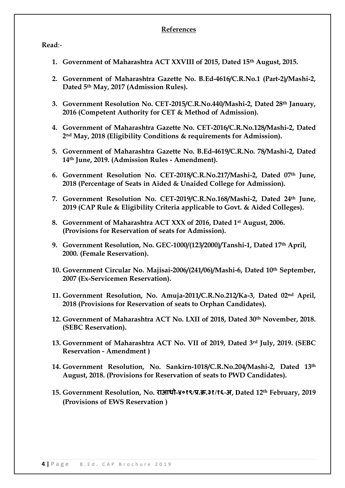# **References**

**Read**:-

- **1. Government of Maharashtra ACT XXVIII of 2015, Dated 15th August, 2015.**
- **2. Government of Maharashtra Gazette No. B.Ed-4616/C.R.No.1 (Part-2)/Mashi-2, Dated 5th May, 2017 (Admission Rules).**
- **3. Government Resolution No. CET-2015/C.R.No.440/Mashi-2, Dated 28th January, 2016 (Competent Authority for CET & Method of Admission).**
- **4. Government of Maharashtra Gazette No. CET-2016/C.R.No.128/Mashi-2, Dated 2nd May, 2018 (Eligibility Conditions & requirements for Admission).**
- **5. Government of Maharashtra Gazette No. B.Ed-4619/C.R.No. 78/Mashi-2, Dated 14th June, 2019. (Admission Rules - Amendment).**
- **6. Government Resolution No. CET-2018/C.R.No.217/Mashi-2, Dated 07th June, 2018 (Percentage of Seats in Aided & Unaided College for Admission).**
- **7. Government Resolution No. CET-2019/C.R.No.168/Mashi-2, Dated 24th June, 2019 (CAP Rule & Eligibility Criteria applicable to Govt. & Aided Colleges).**
- **8. Government of Maharashtra ACT XXX of 2016, Dated 1st August, 2006. (Provisions for Reservation of seats for Admission).**
- **9. Government Resolution, No. GEC-1000/(123/2000)/Tanshi-1, Dated 17th April, 2000. (Female Reservation).**
- **10. Government Circular No. Majisai-2006/(241/06)/Mashi-6, Dated 10th September, 2007 (Ex-Servicemen Reservation).**
- **11. Government Resolution, No. Amuja-2011/C.R.No.212/Ka-3, Dated 02nd April, 2018 (Provisions for Reservation of seats to Orphan Candidates).**
- **12. Government of Maharashtra ACT No. LXII of 2018, Dated 30th November, 2018. (SEBC Reservation).**
- **13. Government of Maharashtra ACT No. VII of 2019, Dated 3rd July, 2019. (SEBC Reservation - Amendment )**
- **14. Government Resolution, No. Sankirn-1018/C.R.No.204/Mashi-2, Dated 13th August, 2018. (Provisions for Reservation of seats to PWD Candidates).**
- **15. Government Resolution, No. राआधो-४०१९/प्र.क्र.३१/१६-अ, Dated 12th February, 2019 (Provisions of EWS Reservation )**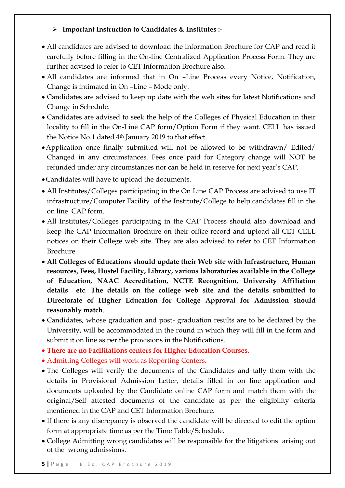# **Important Instruction to Candidates & Institutes :-**

- All candidates are advised to download the Information Brochure for CAP and read it carefully before filling in the On-line Centralized Application Process Form. They are further advised to refer to CET Information Brochure also.
- All candidates are informed that in On –Line Process every Notice, Notification, Change is intimated in On –Line – Mode only.
- Candidates are advised to keep up date with the web sites for latest Notifications and Change in Schedule.
- Candidates are advised to seek the help of the Colleges of Physical Education in their locality to fill in the On-Line CAP form/Option Form if they want. CELL has issued the Notice No.1 dated 4<sup>th</sup> January 2019 to that effect.
- Application once finally submitted will not be allowed to be withdrawn/ Edited/ Changed in any circumstances. Fees once paid for Category change will NOT be refunded under any circumstances nor can be held in reserve for next year's CAP.
- Candidates will have to upload the documents.
- All Institutes/Colleges participating in the On Line CAP Process are advised to use IT infrastructure/Computer Facility of the Institute/College to help candidates fill in the on line CAP form.
- All Institutes/Colleges participating in the CAP Process should also download and keep the CAP Information Brochure on their office record and upload all CET CELL notices on their College web site. They are also advised to refer to CET Information Brochure.
- **All Colleges of Educations should update their Web site with Infrastructure, Human resources, Fees, Hostel Facility, Library, various laboratories available in the College of Education, NAAC Accreditation, NCTE Recognition, University Affiliation details etc**. **The details on the college web site and the details submitted to Directorate of Higher Education for College Approval for Admission should reasonably match**.
- Candidates, whose graduation and post- graduation results are to be declared by the University, will be accommodated in the round in which they will fill in the form and submit it on line as per the provisions in the Notifications.
- **There are no Facilitations centers for Higher Education Courses.**
- Admitting Colleges will work as Reporting Centers.
- The Colleges will verify the documents of the Candidates and tally them with the details in Provisional Admission Letter, details filled in on line application and documents uploaded by the Candidate online CAP form and match them with the original/Self attested documents of the candidate as per the eligibility criteria mentioned in the CAP and CET Information Brochure.
- If there is any discrepancy is observed the candidate will be directed to edit the option form at appropriate time as per the Time Table/Schedule.
- College Admitting wrong candidates will be responsible for the litigations arising out of the wrong admissions.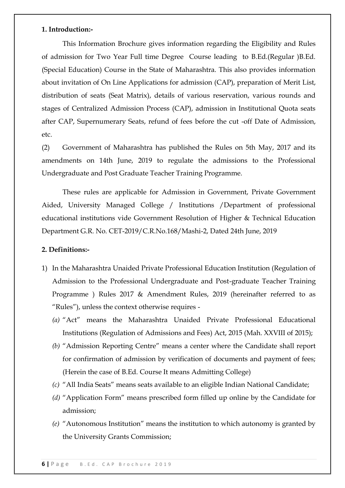### **1. Introduction:-**

This Information Brochure gives information regarding the Eligibility and Rules of admission for Two Year Full time Degree Course leading to B.Ed.(Regular )B.Ed. (Special Education) Course in the State of Maharashtra. This also provides information about invitation of On Line Applications for admission (CAP), preparation of Merit List, distribution of seats (Seat Matrix), details of various reservation, various rounds and stages of Centralized Admission Process (CAP), admission in Institutional Quota seats after CAP, Supernumerary Seats, refund of fees before the cut -off Date of Admission, etc.

(2) Government of Maharashtra has published the Rules on 5th May, 2017 and its amendments on 14th June, 2019 to regulate the admissions to the Professional Undergraduate and Post Graduate Teacher Training Programme.

These rules are applicable for Admission in Government, Private Government Aided, University Managed College / Institutions /Department of professional educational institutions vide Government Resolution of Higher & Technical Education Department G.R. No. CET-2019/C.R.No.168/Mashi-2, Dated 24th June, 2019

# **2. Definitions:-**

- 1) In the Maharashtra Unaided Private Professional Education Institution (Regulation of Admission to the Professional Undergraduate and Post-graduate Teacher Training Programme ) Rules 2017 & Amendment Rules, 2019 (hereinafter referred to as "Rules"), unless the context otherwise requires -
	- (a) "Act" means the Maharashtra Unaided Private Professional Educational Institutions (Regulation of Admissions and Fees) Act, 2015 (Mah. XXVIII of 2015);
	- (b) "Admission Reporting Centre" means a center where the Candidate shall report for confirmation of admission by verification of documents and payment of fees; (Herein the case of B.Ed. Course It means Admitting College)
	- *(c)* "All India Seats" means seats available to an eligible Indian National Candidate;
	- *(d)* "Application Form" means prescribed form filled up online by the Candidate for admission;
	- *(e)* "Autonomous Institution" means the institution to which autonomy is granted by the University Grants Commission;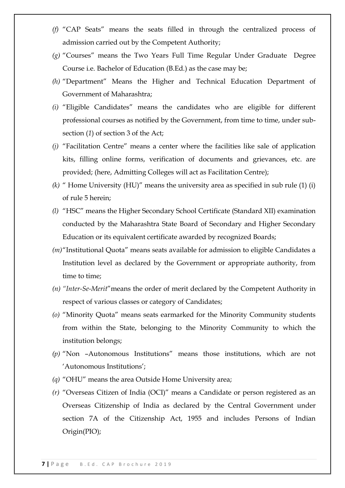- (f) "CAP Seats" means the seats filled in through the centralized process of admission carried out by the Competent Authority;
- (g) "Courses" means the Two Years Full Time Regular Under Graduate Degree Course i.e. Bachelor of Education (B.Ed.) as the case may be;
- *(h)* "Department" Means the Higher and Technical Education Department of Government of Maharashtra;
- (i) "Eligible Candidates" means the candidates who are eligible for different professional courses as notified by the Government, from time to time, under subsection (*1*) of section 3 of the Act;
- *(j)* "Facilitation Centre" means a center where the facilities like sale of application kits, filling online forms, verification of documents and grievances, etc. are provided; (here, Admitting Colleges will act as Facilitation Centre);
- $(k)$  " Home University  $(HU)$ " means the university area as specified in sub rule  $(1)$   $(i)$ of rule 5 herein;
- *(l)* "HSC" means the Higher Secondary School Certificate (Standard XII) examination conducted by the Maharashtra State Board of Secondary and Higher Secondary Education or its equivalent certificate awarded by recognized Boards;
- *(m)*"Institutional Quota" means seats available for admission to eligible Candidates a Institution level as declared by the Government or appropriate authority, from time to time;
- *(n) "Inter-Se-Merit*‖means the order of merit declared by the Competent Authority in respect of various classes or category of Candidates;
- (o) "Minority Quota" means seats earmarked for the Minority Community students from within the State, belonging to the Minority Community to which the institution belongs;
- (p) "Non -Autonomous Institutions" means those institutions, which are not ‗Autonomous Institutions';
- *(a)* "OHU" means the area Outside Home University area;
- *(r)* "Overseas Citizen of India (OCI)" means a Candidate or person registered as an Overseas Citizenship of India as declared by the Central Government under section 7A of the Citizenship Act, 1955 and includes Persons of Indian Origin(PIO);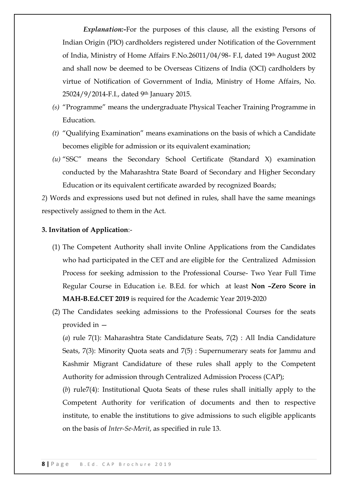*Explanation:-*For the purposes of this clause, all the existing Persons of Indian Origin (PIO) cardholders registered under Notification of the Government of India, Ministry of Home Affairs F.No.26011/04/98- F.I, dated 19th August 2002 and shall now be deemed to be Overseas Citizens of India (OCI) cardholders by virtue of Notification of Government of India, Ministry of Home Affairs, No. 25024/9/2014-F.I., dated 9th January 2015.

- *(s)* "Programme" means the undergraduate Physical Teacher Training Programme in Education.
- *(t)* "Qualifying Examination" means examinations on the basis of which a Candidate becomes eligible for admission or its equivalent examination;
- (*u*) "SSC" means the Secondary School Certificate (Standard X) examination conducted by the Maharashtra State Board of Secondary and Higher Secondary Education or its equivalent certificate awarded by recognized Boards;

*2*) Words and expressions used but not defined in rules, shall have the same meanings respectively assigned to them in the Act.

#### **3. Invitation of Application**:-

- (1) The Competent Authority shall invite Online Applications from the Candidates who had participated in the CET and are eligible for the Centralized Admission Process for seeking admission to the Professional Course- Two Year Full Time Regular Course in Education i.e. B.Ed. for which at least **Non –Zero Score in MAH-B.Ed.CET 2019** is required for the Academic Year 2019-2020
- (2) The Candidates seeking admissions to the Professional Courses for the seats provided in —

(*a*) rule 7(1): Maharashtra State Candidature Seats, 7(2) : All India Candidature Seats, 7(3): Minority Quota seats and 7(5) : Supernumerary seats for Jammu and Kashmir Migrant Candidature of these rules shall apply to the Competent Authority for admission through Centralized Admission Process (CAP);

(*b*) rule7(4): Institutional Quota Seats of these rules shall initially apply to the Competent Authority for verification of documents and then to respective institute, to enable the institutions to give admissions to such eligible applicants on the basis of *Inter-Se-Merit*, as specified in rule 13.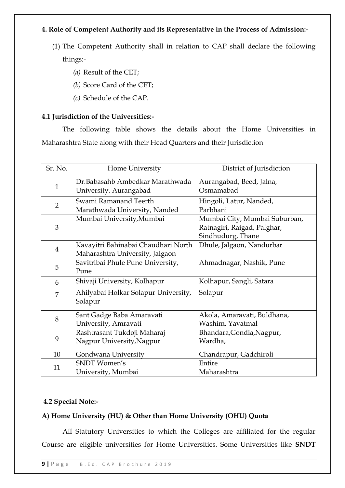# **4. Role of Competent Authority and its Representative in the Process of Admission:-**

- (1) The Competent Authority shall in relation to CAP shall declare the following things:-
	- *(a)* Result of the CET;
	- *(b)* Score Card of the CET;
	- *(c)* Schedule of the CAP.

# **4.1 Jurisdiction of the Universities:-**

The following table shows the details about the Home Universities in Maharashtra State along with their Head Quarters and their Jurisdiction

| Sr. No.        | Home University                      | District of Jurisdiction      |
|----------------|--------------------------------------|-------------------------------|
|                | Dr.Babasahb Ambedkar Marathwada      | Aurangabad, Beed, Jalna,      |
| $\mathbf{1}$   | University. Aurangabad               | Osmamabad                     |
| $\overline{2}$ | Swami Ramanand Teerth                | Hingoli, Latur, Nanded,       |
|                | Marathwada University, Nanded        | Parbhani                      |
|                | Mumbai University, Mumbai            | Mumbai City, Mumbai Suburban, |
| 3              |                                      | Ratnagiri, Raigad, Palghar,   |
|                |                                      | Sindhudurg, Thane             |
| $\overline{4}$ | Kavayitri Bahinabai Chaudhari North  | Dhule, Jalgaon, Nandurbar     |
|                | Maharashtra University, Jalgaon      |                               |
|                | Savitribai Phule Pune University,    | Ahmadnagar, Nashik, Pune      |
| 5              | Pune                                 |                               |
| 6              | Shivaji University, Kolhapur         | Kolhapur, Sangli, Satara      |
| 7              | Ahilyabai Holkar Solapur University, | Solapur                       |
|                | Solapur                              |                               |
|                | Sant Gadge Baba Amaravati            | Akola, Amaravati, Buldhana,   |
| 8              | University, Amravati                 | Washim, Yavatmal              |
|                | Rashtrasant Tukdoji Maharaj          | Bhandara, Gondia, Nagpur,     |
| 9              | Nagpur University, Nagpur            | Wardha,                       |
| 10             | Gondwana University                  | Chandrapur, Gadchiroli        |
| 11             | <b>SNDT</b> Women's                  | Entire                        |
|                | University, Mumbai                   | Maharashtra                   |

# **4.2 Special Note:-**

# **A) Home University (HU) & Other than Home University (OHU) Quota**

All Statutory Universities to which the Colleges are affiliated for the regular Course are eligible universities for Home Universities. Some Universities like **SNDT**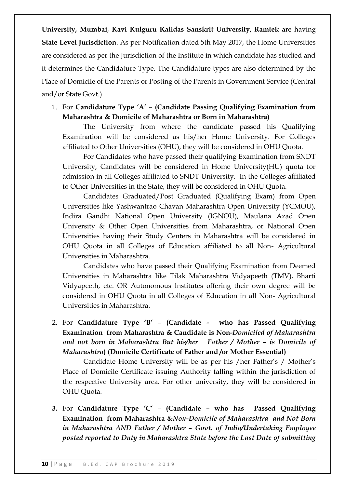**University, Mumbai**, **Kavi Kulguru Kalidas Sanskrit University, Ramtek** are having **State Level Jurisdiction**. As per Notification dated 5th May 2017, the Home Universities are considered as per the Jurisdiction of the Institute in which candidate has studied and it determines the Candidature Type. The Candidature types are also determined by the Place of Domicile of the Parents or Posting of the Parents in Government Service (Central and/or State Govt.)

1. For **Candidature Type ‗A'** – **(Candidate Passing Qualifying Examination from Maharashtra & Domicile of Maharashtra or Born in Maharashtra)**

The University from where the candidate passed his Qualifying Examination will be considered as his/her Home University. For Colleges affiliated to Other Universities (OHU), they will be considered in OHU Quota.

For Candidates who have passed their qualifying Examination from SNDT University, Candidates will be considered in Home University(HU) quota for admission in all Colleges affiliated to SNDT University. In the Colleges affiliated to Other Universities in the State, they will be considered in OHU Quota.

Candidates Graduated/Post Graduated (Qualifying Exam) from Open Universities like Yashwantrao Chavan Maharashtra Open University (YCMOU), Indira Gandhi National Open University (IGNOU), Maulana Azad Open University & Other Open Universities from Maharashtra, or National Open Universities having their Study Centers in Maharashtra will be considered in OHU Quota in all Colleges of Education affiliated to all Non- Agricultural Universities in Maharashtra.

Candidates who have passed their Qualifying Examination from Deemed Universities in Maharashtra like Tilak Maharashtra Vidyapeeth (TMV), Bharti Vidyapeeth, etc. OR Autonomous Institutes offering their own degree will be considered in OHU Quota in all Colleges of Education in all Non- Agricultural Universities in Maharashtra.

2. For **Candidature Type ‗B'** – **(Candidate - who has Passed Qualifying Examination from Maharashtra & Candidate is Non-***Domiciled of Maharashtra and not born in Maharashtra But his/her Father / Mother – is Domicile of Maharashtra***) (Domicile Certificate of Father and /or Mother Essential)**

Candidate Home University will be as per his /her Father's / Mother's Place of Domicile Certificate issuing Authority falling within the jurisdiction of the respective University area. For other university, they will be considered in OHU Quota.

**3.** For **Candidature Type ‗C'** – **(Candidate – who has Passed Qualifying Examination from Maharashtra &***Non-Domicile of Maharashtra and Not Born in Maharashtra AND Father / Mother – Govt. of India/Undertaking Employee posted reported to Duty in Maharashtra State before the Last Date of submitting*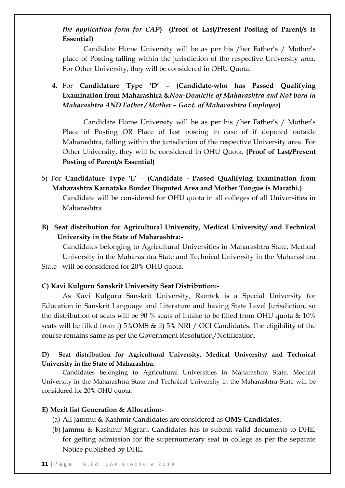# *the application form for CAP***) (Proof of Last/Present Posting of Parent/s is Essential)**

Candidate Home University will be as per his /her Father's / Mother's place of Posting falling within the jurisdiction of the respective University area. For Other University, they will be considered in OHU Quota.

**4.** For **Candidature Type ‗D'** – **(Candidate-who has Passed Qualifying Examination from Maharashtra &***Non-Domicile of Maharashtra and Not born in Maharashtra AND Father / Mother – Govt. of Maharashtra Employee***)**

Candidate Home University will be as per his /her Father's / Mother's Place of Posting OR Place of last posting in case of if deputed outside Maharashtra, falling within the jurisdiction of the respective University area. For Other University, they will be considered in OHU Quota. **(Proof of Last/Present Posting of Parent/s Essential)**

- 5) For **Candidature Type ‗E' (Candidate - Passed Qualifying Examination from Maharashtra Karnataka Border Disputed Area and Mother Tongue is Marathi.)** Candidate will be considered for OHU quota in all colleges of all Universities in Maharashtra
- **B) Seat distribution for Agricultural University, Medical University/ and Technical University in the State of Maharashtra:-**

Candidates belonging to Agricultural Universities in Maharashtra State, Medical University in the Maharashtra State and Technical University in the Maharashtra State will be considered for 20% OHU quota.

# **C) Kavi Kulguru Sanskrit University Seat Distribution:-**

As Kavi Kulguru Sanskrit University, Ramtek is a Special University for Education in Sanskrit Language and Literature and having State Level Jurisdiction, so the distribution of seats will be 90 % seats of Intake to be filled from OHU quota & 10% seats will be filled from i) 5%OMS & ii) 5% NRI / OCI Candidates. The eligibility of the course remains same as per the Government Resolution/Notification.

# **D) Seat distribution for Agricultural University, Medical University/ and Technical University in the State of Maharashtra.**

Candidates belonging to Agricultural Universities in Maharashtra State, Medical University in the Maharashtra State and Technical University in the Maharashtra State will be considered for 20% OHU quota.

### **E) Merit list Generation & Allocation:-**

- (a) All Jammu & Kashmir Candidates are considered as **OMS Candidates**.
- (b) Jammu & Kashmir Migrant Candidates has to submit valid documents to DHE, for getting admission for the supernumerary seat in college as per the separate Notice published by DHE.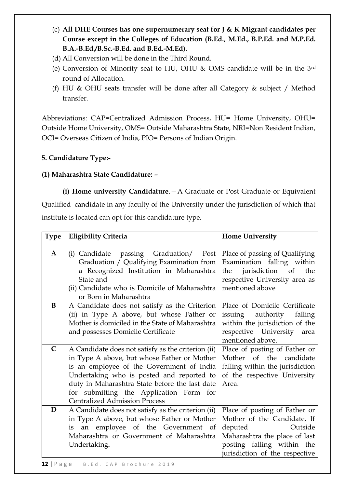- (c) **All DHE Courses has one supernumerary seat for J & K Migrant candidates per Course except in the Colleges of Education (B.Ed., M.Ed., B.P.Ed. and M.P.Ed. B.A.-B.Ed./B.Sc.-B.Ed. and B.Ed.-M.Ed).**
- (d) All Conversion will be done in the Third Round.
- (e) Conversion of Minority seat to HU, OHU & OMS candidate will be in the 3rd round of Allocation.
- (f) HU & OHU seats transfer will be done after all Category & subject / Method transfer.

Abbreviations: CAP=Centralized Admission Process, HU= Home University, OHU= Outside Home University, OMS= Outside Maharashtra State, NRI=Non Resident Indian, OCI= Overseas Citizen of India, PIO= Persons of Indian Origin.

# **5. Candidature Type:-**

# **(1) Maharashtra State Candidature: –**

**(i) Home university Candidature**.—A Graduate or Post Graduate or Equivalent Qualified candidate in any faculty of the University under the jurisdiction of which that institute is located can opt for this candidature type.

| <b>Type</b>  | <b>Eligibility Criteria</b>                                                                                                                                                                                                                                                                                                      | <b>Home University</b>                                                                                                                                                              |
|--------------|----------------------------------------------------------------------------------------------------------------------------------------------------------------------------------------------------------------------------------------------------------------------------------------------------------------------------------|-------------------------------------------------------------------------------------------------------------------------------------------------------------------------------------|
| $\mathbf{A}$ | (i) Candidate passing Graduation/ Post<br>Graduation / Qualifying Examination from<br>a Recognized Institution in Maharashtra<br>State and<br>(ii) Candidate who is Domicile of Maharashtra<br>or Born in Maharashtra                                                                                                            | Place of passing of Qualifying<br>Examination falling within<br>jurisdiction of<br>the<br>the<br>respective University area as<br>mentioned above                                   |
| B            | A Candidate does not satisfy as the Criterion<br>(ii) in Type A above, but whose Father or<br>Mother is domiciled in the State of Maharashtra<br>and possesses Domicile Certificate                                                                                                                                              | Place of Domicile Certificate<br>falling<br>issuing authority<br>within the jurisdiction of the<br>respective University area<br>mentioned above.                                   |
| $\mathsf{C}$ | A Candidate does not satisfy as the criterion (ii)<br>in Type A above, but whose Father or Mother<br>is an employee of the Government of India<br>Undertaking who is posted and reported to<br>duty in Maharashtra State before the last date<br>for submitting the Application Form for<br><b>Centralized Admission Process</b> | Place of posting of Father or<br>Mother of the candidate<br>falling within the jurisdiction<br>of the respective University<br>Area.                                                |
| D            | A Candidate does not satisfy as the criterion (ii)<br>in Type A above, but whose Father or Mother<br>is an employee of the Government of<br>Maharashtra or Government of Maharashtra<br>Undertaking.                                                                                                                             | Place of posting of Father or<br>Mother of the Candidate, If<br>deputed<br>Outside<br>Maharashtra the place of last<br>posting falling within the<br>jurisdiction of the respective |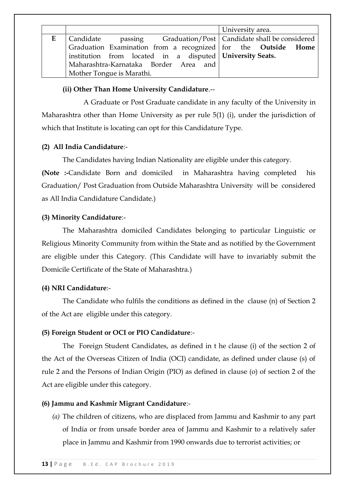|   |                                                                        | University area. |
|---|------------------------------------------------------------------------|------------------|
| E | passing Graduation/Post   Candidate shall be considered<br>  Candidate |                  |
|   | Graduation Examination from a recognized for the Outside Home          |                  |
|   | institution from located in a disputed University Seats.               |                  |
|   | Maharashtra-Karnataka Border Area and                                  |                  |
|   | Mother Tongue is Marathi.                                              |                  |

# **(ii) Other Than Home University Candidature**.--

A Graduate or Post Graduate candidate in any faculty of the University in Maharashtra other than Home University as per rule 5(1) (i), under the jurisdiction of which that Institute is locating can opt for this Candidature Type.

# **(2) All India Candidature**:-

The Candidates having Indian Nationality are eligible under this category.

**(Note :-**Candidate Born and domiciled in Maharashtra having completed his Graduation/ Post Graduation from Outside Maharashtra University will be considered as All India Candidature Candidate.)

# **(3) Minority Candidature**:-

The Maharashtra domiciled Candidates belonging to particular Linguistic or Religious Minority Community from within the State and as notified by the Government are eligible under this Category. (This Candidate will have to invariably submit the Domicile Certificate of the State of Maharashtra.)

### **(4) NRI Candidature**:-

The Candidate who fulfils the conditions as defined in the clause (n) of Section 2 of the Act are eligible under this category.

### **(5) Foreign Student or OCI or PIO Candidature**:-

The Foreign Student Candidates, as defined in t he clause (i) of the section 2 of the Act of the Overseas Citizen of India (OCI) candidate, as defined under clause (s) of rule 2 and the Persons of Indian Origin (PIO) as defined in clause (o) of section 2 of the Act are eligible under this category.

### **(6) Jammu and Kashmir Migrant Candidature**:-

*(a)* The children of citizens, who are displaced from Jammu and Kashmir to any part of India or from unsafe border area of Jammu and Kashmir to a relatively safer place in Jammu and Kashmir from 1990 onwards due to terrorist activities; or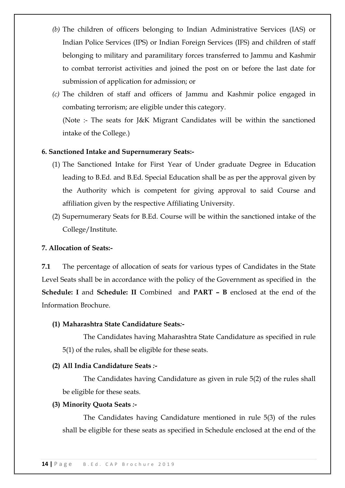- *(b)* The children of officers belonging to Indian Administrative Services (IAS) or Indian Police Services (IPS) or Indian Foreign Services (IFS) and children of staff belonging to military and paramilitary forces transferred to Jammu and Kashmir to combat terrorist activities and joined the post on or before the last date for submission of application for admission; or
- *(c)* The children of staff and officers of Jammu and Kashmir police engaged in combating terrorism; are eligible under this category. (Note :- The seats for J&K Migrant Candidates will be within the sanctioned intake of the College.)

# **6. Sanctioned Intake and Supernumerary Seats:-**

- (1) The Sanctioned Intake for First Year of Under graduate Degree in Education leading to B.Ed. and B.Ed. Special Education shall be as per the approval given by the Authority which is competent for giving approval to said Course and affiliation given by the respective Affiliating University.
- (2) Supernumerary Seats for B.Ed. Course will be within the sanctioned intake of the College/Institute.

### **7. Allocation of Seats:-**

**7.1** The percentage of allocation of seats for various types of Candidates in the State Level Seats shall be in accordance with the policy of the Government as specified in the **Schedule: I** and **Schedule: II** Combined and **PART – B** enclosed at the end of the Information Brochure.

### **(1) Maharashtra State Candidature Seats***:-*

The Candidates having Maharashtra State Candidature as specified in rule 5(1) of the rules, shall be eligible for these seats.

### **(2) All India Candidature Seats** *:-*

The Candidates having Candidature as given in rule 5(2) of the rules shall be eligible for these seats.

#### **(3) Minority Quota Seats** *:-*

The Candidates having Candidature mentioned in rule 5(3) of the rules shall be eligible for these seats as specified in Schedule enclosed at the end of the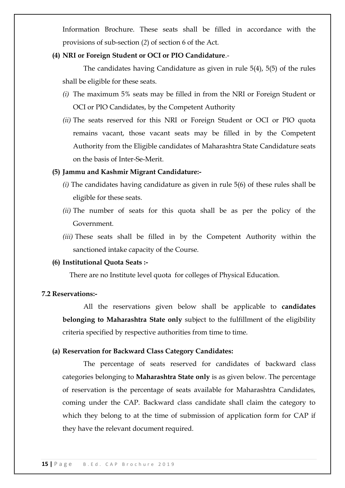Information Brochure. These seats shall be filled in accordance with the provisions of sub-section (*2*) of section 6 of the Act.

# **(4) NRI or Foreign Student or OCI or PIO Candidature**.-

The candidates having Candidature as given in rule 5(4), 5(5) of the rules shall be eligible for these seats.

- *(i)* The maximum 5% seats may be filled in from the NRI or Foreign Student or OCI or PIO Candidates, by the Competent Authority
- *(ii)* The seats reserved for this NRI or Foreign Student or OCI or PIO quota remains vacant, those vacant seats may be filled in by the Competent Authority from the Eligible candidates of Maharashtra State Candidature seats on the basis of Inter-Se-Merit.

# **(5) Jammu and Kashmir Migrant Candidature:-**

- *(i)* The candidates having candidature as given in rule 5(6) of these rules shall be eligible for these seats.
- *(ii)* The number of seats for this quota shall be as per the policy of the Government.
- *(iii)* These seats shall be filled in by the Competent Authority within the sanctioned intake capacity of the Course.

# **(6) Institutional Quota Seats :***-*

There are no Institute level quota for colleges of Physical Education.

# **7.2 Reservations:-**

All the reservations given below shall be applicable to **candidates belonging to Maharashtra State only** subject to the fulfillment of the eligibility criteria specified by respective authorities from time to time.

### **(a) Reservation for Backward Class Category Candidates:**

The percentage of seats reserved for candidates of backward class categories belonging to **Maharashtra State only** is as given below. The percentage of reservation is the percentage of seats available for Maharashtra Candidates, coming under the CAP. Backward class candidate shall claim the category to which they belong to at the time of submission of application form for CAP if they have the relevant document required.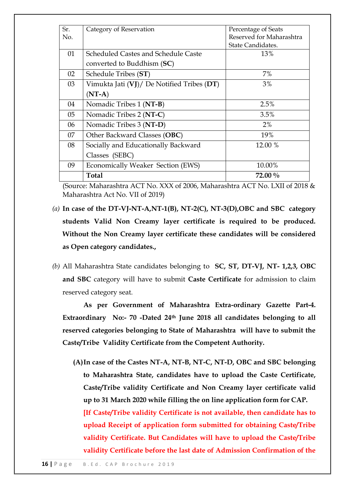| Sr. | Category of Reservation                    | Percentage of Seats      |
|-----|--------------------------------------------|--------------------------|
| No. |                                            | Reserved for Maharashtra |
|     |                                            | State Candidates.        |
| 01  | Scheduled Castes and Schedule Caste        | 13%                      |
|     | converted to Buddhism (SC)                 |                          |
| 02  | Schedule Tribes (ST)                       | 7%                       |
| 03  | Vimukta Jati (VJ)/ De Notified Tribes (DT) | 3%                       |
|     | $(NT-A)$                                   |                          |
| 04  | Nomadic Tribes 1 (NT-B)                    | 2.5%                     |
| 05  | Nomadic Tribes 2 (NT-C)                    | 3.5%                     |
| 06  | Nomadic Tribes 3 (NT-D)                    | 2%                       |
| 07  | Other Backward Classes (OBC)               | 19%                      |
| 08  | Socially and Educationally Backward        | 12.00 %                  |
|     | Classes (SEBC)                             |                          |
| 09  | Economically Weaker Section (EWS)          | 10.00%                   |
|     | Total                                      | $72.00\%$                |

(Source: Maharashtra ACT No. XXX of 2006, Maharashtra ACT No. LXII of 2018 & Maharashtra Act No. VII of 2019)

- *(a)* **In case of the DT-VJ-NT-A,NT-1(B), NT-2(C), NT-3(D),OBC and SBC category students Valid Non Creamy layer certificate is required to be produced. Without the Non Creamy layer certificate these candidates will be considered as Open category candidates.,**
- *(b)* All Maharashtra State candidates belonging to **SC, ST, DT-VJ, NT- 1,2,3, OBC and SBC** category will have to submit **Caste Certificate** for admission to claim reserved category seat.

**As per Government of Maharashtra Extra-ordinary Gazette Part-4. Extraordinary No:- 70 -Dated 24th June 2018 all candidates belonging to all reserved categories belonging to State of Maharashtra will have to submit the Caste/Tribe Validity Certificate from the Competent Authority.**

**(A)In case of the Castes NT-A, NT-B, NT-C, NT-D, OBC and SBC belonging to Maharashtra State, candidates have to upload the Caste Certificate, Caste/Tribe validity Certificate and Non Creamy layer certificate valid up to 31 March 2020 while filling the on line application form for CAP. [If Caste/Tribe validity Certificate is not available, then candidate has to upload Receipt of application form submitted for obtaining Caste/Tribe validity Certificate. But Candidates will have to upload the Caste/Tribe validity Certificate before the last date of Admission Confirmation of the**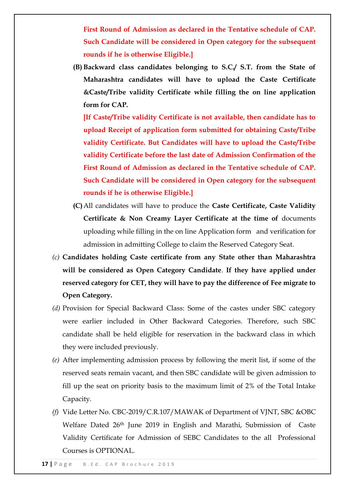**First Round of Admission as declared in the Tentative schedule of CAP. Such Candidate will be considered in Open category for the subsequent rounds if he is otherwise Eligible.]**

**(B) Backward class candidates belonging to S.C./ S.T. from the State of Maharashtra candidates will have to upload the Caste Certificate &Caste/Tribe validity Certificate while filling the on line application form for CAP.** 

**[If Caste/Tribe validity Certificate is not available, then candidate has to upload Receipt of application form submitted for obtaining Caste/Tribe validity Certificate. But Candidates will have to upload the Caste/Tribe validity Certificate before the last date of Admission Confirmation of the First Round of Admission as declared in the Tentative schedule of CAP. Such Candidate will be considered in Open category for the subsequent rounds if he is otherwise Eligible.]**

- **(C)**All candidates will have to produce the **Caste Certificate, Caste Validity Certificate & Non Creamy Layer Certificate at the time of** documents uploading while filling in the on line Application form and verification for admission in admitting College to claim the Reserved Category Seat.
- *(c)* **Candidates holding Caste certificate from any State other than Maharashtra will be considered as Open Category Candidate**. **If they have applied under reserved category for CET, they will have to pay the difference of Fee migrate to Open Category.**
- *(d)* Provision for Special Backward Class: Some of the castes under SBC category were earlier included in Other Backward Categories. Therefore, such SBC candidate shall be held eligible for reservation in the backward class in which they were included previously.
- *(e)* After implementing admission process by following the merit list, if some of the reserved seats remain vacant, and then SBC candidate will be given admission to fill up the seat on priority basis to the maximum limit of 2% of the Total Intake Capacity.
- *(f)* Vide Letter No. CBC-2019/C.R.107/MAWAK of Department of VJNT, SBC &OBC Welfare Dated 26th June 2019 in English and Marathi, Submission of Caste Validity Certificate for Admission of SEBC Candidates to the all Professional Courses is OPTIONAL.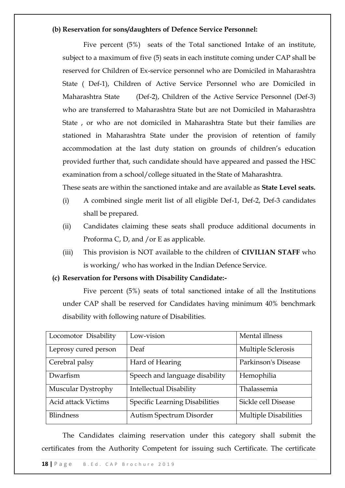# **(b) Reservation for sons/daughters of Defence Service Personnel:**

Five percent (5%) seats of the Total sanctioned Intake of an institute, subject to a maximum of five (5) seats in each institute coming under CAP shall be reserved for Children of Ex-service personnel who are Domiciled in Maharashtra State ( Def-1), Children of Active Service Personnel who are Domiciled in Maharashtra State (Def-2), Children of the Active Service Personnel (Def-3) who are transferred to Maharashtra State but are not Domiciled in Maharashtra State , or who are not domiciled in Maharashtra State but their families are stationed in Maharashtra State under the provision of retention of family accommodation at the last duty station on grounds of children's education provided further that, such candidate should have appeared and passed the HSC examination from a school/college situated in the State of Maharashtra.

These seats are within the sanctioned intake and are available as **State Level seats.**

- (i) A combined single merit list of all eligible Def-1, Def-2, Def-3 candidates shall be prepared.
- (ii) Candidates claiming these seats shall produce additional documents in Proforma C, D, and /or E as applicable.
- (iii) This provision is NOT available to the children of **CIVILIAN STAFF** who is working/ who has worked in the Indian Defence Service.

### **(c) Reservation for Persons with Disability Candidate:-**

Five percent (5%) seats of total sanctioned intake of all the Institutions under CAP shall be reserved for Candidates having minimum 40% benchmark disability with following nature of Disabilities.

| Locomotor Disability       | Low-vision                     | Mental illness               |
|----------------------------|--------------------------------|------------------------------|
| Leprosy cured person       | Deaf                           | Multiple Sclerosis           |
| Cerebral palsy             | Hard of Hearing                | Parkinson's Disease          |
| Dwarfism                   | Speech and language disability | Hemophilia                   |
| Muscular Dystrophy         | <b>Intellectual Disability</b> | Thalassemia                  |
| <b>Acid attack Victims</b> | Specific Learning Disabilities | Sickle cell Disease          |
| <b>Blindness</b>           | Autism Spectrum Disorder       | <b>Multiple Disabilities</b> |

The Candidates claiming reservation under this category shall submit the certificates from the Authority Competent for issuing such Certificate. The certificate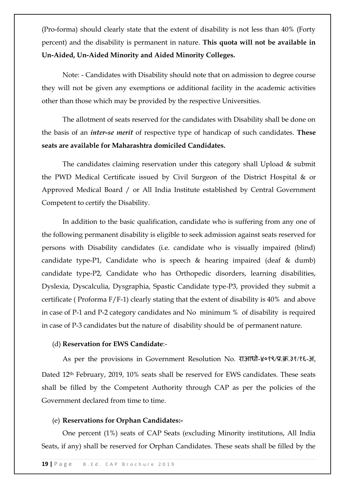(Pro-forma) should clearly state that the extent of disability is not less than 40% (Forty percent) and the disability is permanent in nature. **This quota will not be available in Un-Aided, Un-Aided Minority and Aided Minority Colleges.**

Note: - Candidates with Disability should note that on admission to degree course they will not be given any exemptions or additional facility in the academic activities other than those which may be provided by the respective Universities.

The allotment of seats reserved for the candidates with Disability shall be done on the basis of an *inter-se merit* of respective type of handicap of such candidates. **These seats are available for Maharashtra domiciled Candidates.**

The candidates claiming reservation under this category shall Upload & submit the PWD Medical Certificate issued by Civil Surgeon of the District Hospital & or Approved Medical Board / or All India Institute established by Central Government Competent to certify the Disability.

In addition to the basic qualification, candidate who is suffering from any one of the following permanent disability is eligible to seek admission against seats reserved for persons with Disability candidates (i.e. candidate who is visually impaired (blind) candidate type-P1, Candidate who is speech & hearing impaired (deaf & dumb) candidate type-P2, Candidate who has Orthopedic disorders, learning disabilities, Dyslexia, Dyscalculia, Dysgraphia, Spastic Candidate type-P3, provided they submit a certificate ( Proforma F/F-1) clearly stating that the extent of disability is 40% and above in case of P-1 and P-2 category candidates and No minimum % of disability is required in case of P-3 candidates but the nature of disability should be of permanent nature.

### (d) **Reservation for EWS Candidate**:-

As per the provisions in Government Resolution No. राआधो-४०१९/प्र.क्र.३१/१६-अ, Dated 12th February, 2019, 10% seats shall be reserved for EWS candidates. These seats shall be filled by the Competent Authority through CAP as per the policies of the Government declared from time to time.

#### (e) **Reservations for Orphan Candidates:-**

One percent (1%) seats of CAP Seats (excluding Minority institutions, All India Seats, if any) shall be reserved for Orphan Candidates. These seats shall be filled by the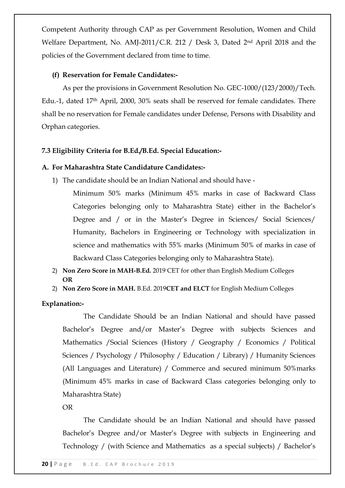Competent Authority through CAP as per Government Resolution, Women and Child Welfare Department, No. AMJ-2011/C.R. 212 / Desk 3, Dated 2nd April 2018 and the policies of the Government declared from time to time.

# **(f) Reservation for Female Candidates:-**

As per the provisions in Government Resolution No. GEC-1000/(123/2000)/Tech. Edu.-1, dated 17th April, 2000, 30% seats shall be reserved for female candidates. There shall be no reservation for Female candidates under Defense, Persons with Disability and Orphan categories.

# **7.3 Eligibility Criteria for B.Ed./B.Ed. Special Education:-**

### **A. For Maharashtra State Candidature Candidates:-**

1) The candidate should be an Indian National and should have -

Minimum 50% marks (Minimum 45% marks in case of Backward Class Categories belonging only to Maharashtra State) either in the Bachelor's Degree and / or in the Master's Degree in Sciences/ Social Sciences/ Humanity, Bachelors in Engineering or Technology with specialization in science and mathematics with 55% marks (Minimum 50% of marks in case of Backward Class Categories belonging only to Maharashtra State).

- 2) **Non Zero Score in MAH-B.Ed.** 2019 CET for other than English Medium Colleges **OR**
- 2) **Non Zero Score in MAH.** B.Ed. 2019**CET and ELCT** for English Medium Colleges

### **Explanation:-**

The Candidate Should be an Indian National and should have passed Bachelor's Degree and/or Master's Degree with subjects Sciences and Mathematics /Social Sciences (History / Geography / Economics / Political Sciences / Psychology / Philosophy / Education / Library) / Humanity Sciences (All Languages and Literature) / Commerce and secured minimum 50%marks (Minimum 45% marks in case of Backward Class categories belonging only to Maharashtra State)

OR

The Candidate should be an Indian National and should have passed Bachelor's Degree and/or Master's Degree with subjects in Engineering and Technology / (with Science and Mathematics as a special subjects) / Bachelor's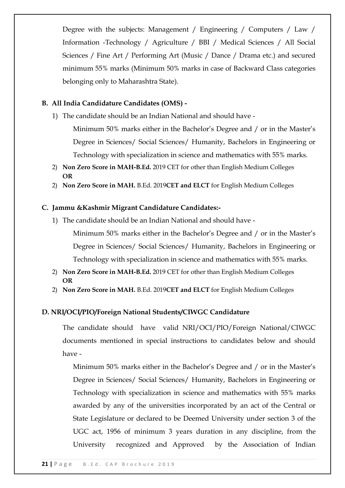Degree with the subjects: Management / Engineering / Computers / Law / Information -Technology / Agriculture / BBI / Medical Sciences / All Social Sciences / Fine Art / Performing Art (Music / Dance / Drama etc.) and secured minimum 55% marks (Minimum 50% marks in case of Backward Class categories belonging only to Maharashtra State).

# **B. All India Candidature Candidates (OMS) -**

1) The candidate should be an Indian National and should have -

Minimum 50% marks either in the Bachelor's Degree and / or in the Master's Degree in Sciences/ Social Sciences/ Humanity, Bachelors in Engineering or Technology with specialization in science and mathematics with 55% marks.

- 2) **Non Zero Score in MAH-B.Ed.** 2019 CET for other than English Medium Colleges **OR**
- 2) **Non Zero Score in MAH.** B.Ed. 2019**CET and ELCT** for English Medium Colleges

# **C. Jammu &Kashmir Migrant Candidature Candidates:-**

1) The candidate should be an Indian National and should have -

Minimum 50% marks either in the Bachelor's Degree and / or in the Master's Degree in Sciences/ Social Sciences/ Humanity, Bachelors in Engineering or Technology with specialization in science and mathematics with 55% marks.

- 2) **Non Zero Score in MAH-B.Ed.** 2019 CET for other than English Medium Colleges **OR**
- 2) **Non Zero Score in MAH.** B.Ed. 2019**CET and ELCT** for English Medium Colleges

# **D. NRI/OCI/PIO/Foreign National Students/CIWGC Candidature**

The candidate should have valid NRI/OCI/PIO/Foreign National/CIWGC documents mentioned in special instructions to candidates below and should have -

Minimum 50% marks either in the Bachelor's Degree and / or in the Master's Degree in Sciences/ Social Sciences/ Humanity, Bachelors in Engineering or Technology with specialization in science and mathematics with 55% marks awarded by any of the universities incorporated by an act of the Central or State Legislature or declared to be Deemed University under section 3 of the UGC act, 1956 of minimum 3 years duration in any discipline, from the University recognized and Approved by the Association of Indian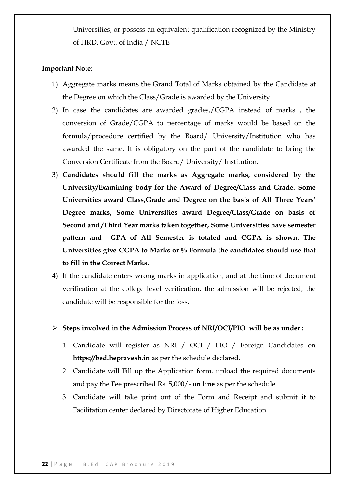Universities, or possess an equivalent qualification recognized by the Ministry of HRD, Govt. of India / NCTE

# **Important Note**:-

- 1) Aggregate marks means the Grand Total of Marks obtained by the Candidate at the Degree on which the Class/Grade is awarded by the University
- 2) In case the candidates are awarded grades,/CGPA instead of marks , the conversion of Grade/CGPA to percentage of marks would be based on the formula/procedure certified by the Board/ University/Institution who has awarded the same. It is obligatory on the part of the candidate to bring the Conversion Certificate from the Board/ University/ Institution.
- 3) **Candidates should fill the marks as Aggregate marks, considered by the University/Examining body for the Award of Degree/Class and Grade. Some Universities award Class,Grade and Degree on the basis of All Three Years' Degree marks, Some Universities award Degree/Class/Grade on basis of Second and /Third Year marks taken together, Some Universities have semester pattern and GPA of All Semester is totaled and CGPA is shown. The Universities give CGPA to Marks or % Formula the candidates should use that to fill in the Correct Marks.**
- 4) If the candidate enters wrong marks in application, and at the time of document verification at the college level verification, the admission will be rejected, the candidate will be responsible for the loss.
- **Steps involved in the Admission Process of NRI/OCI/PIO will be as under :**
	- 1. Candidate will register as NRI / OCI / PIO / Foreign Candidates on **https://bed.hepravesh.in** as per the schedule declared.
	- 2. Candidate will Fill up the Application form, upload the required documents and pay the Fee prescribed Rs. 5,000/- **on line** as per the schedule.
	- 3. Candidate will take print out of the Form and Receipt and submit it to Facilitation center declared by Directorate of Higher Education.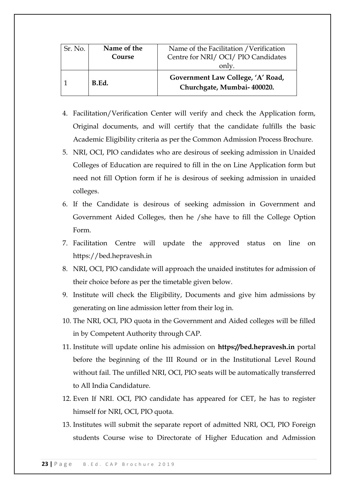| Sr. No. | Name of the<br>Course | Name of the Facilitation / Verification<br>Centre for NRI/OCI/PIO Candidates<br>only. |
|---------|-----------------------|---------------------------------------------------------------------------------------|
|         | B.Ed.                 | Government Law College, 'A' Road,<br>Churchgate, Mumbai- 400020.                      |

- 4. Facilitation/Verification Center will verify and check the Application form, Original documents, and will certify that the candidate fulfills the basic Academic Eligibility criteria as per the Common Admission Process Brochure.
- 5. NRI, OCI, PIO candidates who are desirous of seeking admission in Unaided Colleges of Education are required to fill in the on Line Application form but need not fill Option form if he is desirous of seeking admission in unaided colleges.
- 6. If the Candidate is desirous of seeking admission in Government and Government Aided Colleges, then he /she have to fill the College Option Form.
- 7. Facilitation Centre will update the approved status on line on https://bed.hepravesh.in
- 8. NRI, OCI, PIO candidate will approach the unaided institutes for admission of their choice before as per the timetable given below.
- 9. Institute will check the Eligibility, Documents and give him admissions by generating on line admission letter from their log in.
- 10. The NRI, OCI, PIO quota in the Government and Aided colleges will be filled in by Competent Authority through CAP.
- 11. Institute will update online his admission on **https://bed.hepravesh.in** portal before the beginning of the III Round or in the Institutional Level Round without fail. The unfilled NRI, OCI, PIO seats will be automatically transferred to All India Candidature.
- 12. Even If NRI. OCI, PIO candidate has appeared for CET, he has to register himself for NRI, OCI, PIO quota.
- 13. Institutes will submit the separate report of admitted NRI, OCI, PIO Foreign students Course wise to Directorate of Higher Education and Admission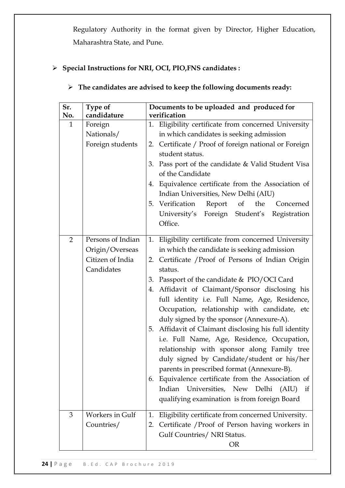Regulatory Authority in the format given by Director, Higher Education, Maharashtra State, and Pune.

# **Special Instructions for NRI, OCI, PIO,FNS candidates :**

# **The candidates are advised to keep the following documents ready:**

| Sr.          | Type of                                                                | Documents to be uploaded and produced for                                                                                                                                                                                                                                                                                                                                                                                                                                                                                                                                                                                                                                                                                                                                                                                |  |
|--------------|------------------------------------------------------------------------|--------------------------------------------------------------------------------------------------------------------------------------------------------------------------------------------------------------------------------------------------------------------------------------------------------------------------------------------------------------------------------------------------------------------------------------------------------------------------------------------------------------------------------------------------------------------------------------------------------------------------------------------------------------------------------------------------------------------------------------------------------------------------------------------------------------------------|--|
| No.          | candidature                                                            | verification                                                                                                                                                                                                                                                                                                                                                                                                                                                                                                                                                                                                                                                                                                                                                                                                             |  |
| $\mathbf{1}$ | Foreign<br>Nationals/<br>Foreign students                              | 1. Eligibility certificate from concerned University<br>in which candidates is seeking admission<br>2. Certificate / Proof of foreign national or Foreign<br>student status.<br>3. Pass port of the candidate & Valid Student Visa<br>of the Candidate<br>4. Equivalence certificate from the Association of<br>Indian Universities, New Delhi (AIU)<br>5. Verification Report of<br>the<br>Concerned<br>University's Foreign Student's Registration<br>Office.                                                                                                                                                                                                                                                                                                                                                          |  |
| 2            | Persons of Indian<br>Origin/Overseas<br>Citizen of India<br>Candidates | 1. Eligibility certificate from concerned University<br>in which the candidate is seeking admission<br>2. Certificate / Proof of Persons of Indian Origin<br>status.<br>3. Passport of the candidate & PIO/OCI Card<br>4. Affidavit of Claimant/Sponsor disclosing his<br>full identity i.e. Full Name, Age, Residence,<br>Occupation, relationship with candidate, etc<br>duly signed by the sponsor (Annexure-A).<br>5. Affidavit of Claimant disclosing his full identity<br>i.e. Full Name, Age, Residence, Occupation,<br>relationship with sponsor along Family tree<br>duly signed by Candidate/student or his/her<br>parents in prescribed format (Annexure-B).<br>6. Equivalence certificate from the Association of<br>Indian Universities, New Delhi (AIU) if<br>qualifying examination is from foreign Board |  |
| 3            | <b>Workers in Gulf</b><br>Countries/                                   | Eligibility certificate from concerned University.<br>1.<br>2. Certificate / Proof of Person having workers in<br>Gulf Countries/ NRI Status.<br><b>OR</b>                                                                                                                                                                                                                                                                                                                                                                                                                                                                                                                                                                                                                                                               |  |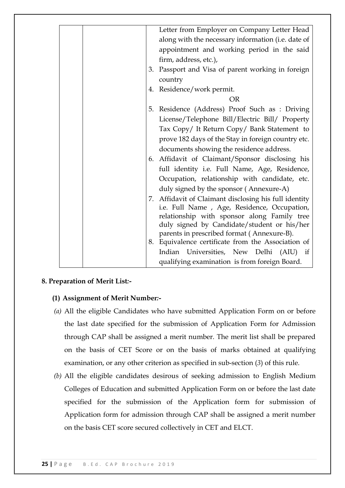|  | Letter from Employer on Company Letter Head                                                      |
|--|--------------------------------------------------------------------------------------------------|
|  | along with the necessary information (i.e. date of                                               |
|  | appointment and working period in the said                                                       |
|  | firm, address, etc.),                                                                            |
|  | 3. Passport and Visa of parent working in foreign                                                |
|  | country                                                                                          |
|  | 4. Residence/work permit.                                                                        |
|  | <b>OR</b>                                                                                        |
|  | Residence (Address) Proof Such as : Driving<br>5.                                                |
|  | License/Telephone Bill/Electric Bill/ Property                                                   |
|  | Tax Copy/ It Return Copy/ Bank Statement to                                                      |
|  | prove 182 days of the Stay in foreign country etc.                                               |
|  | documents showing the residence address.                                                         |
|  | 6. Affidavit of Claimant/Sponsor disclosing his                                                  |
|  | full identity i.e. Full Name, Age, Residence,                                                    |
|  | Occupation, relationship with candidate, etc.                                                    |
|  | duly signed by the sponsor (Annexure-A)                                                          |
|  | 7. Affidavit of Claimant disclosing his full identity                                            |
|  | i.e. Full Name, Age, Residence, Occupation,                                                      |
|  | relationship with sponsor along Family tree                                                      |
|  | duly signed by Candidate/student or his/her                                                      |
|  | parents in prescribed format (Annexure-B).<br>8. Equivalence certificate from the Association of |
|  |                                                                                                  |
|  | Indian Universities, New Delhi (AIU) if                                                          |
|  | qualifying examination is from foreign Board.                                                    |

# **8. Preparation of Merit List***:-*

# **(1) Assignment of Merit Number***:-*

- *(a)* All the eligible Candidates who have submitted Application Form on or before the last date specified for the submission of Application Form for Admission through CAP shall be assigned a merit number. The merit list shall be prepared on the basis of CET Score or on the basis of marks obtained at qualifying examination, or any other criterion as specified in sub-section (*3*) of this rule.
- *(b)* All the eligible candidates desirous of seeking admission to English Medium Colleges of Education and submitted Application Form on or before the last date specified for the submission of the Application form for submission of Application form for admission through CAP shall be assigned a merit number on the basis CET score secured collectively in CET and ELCT.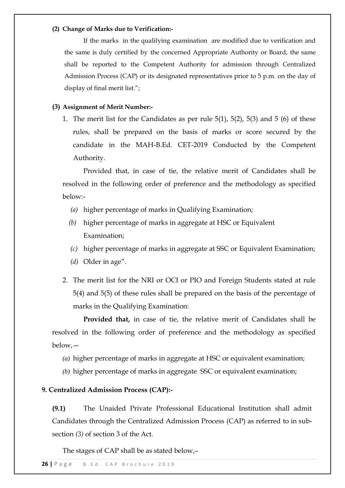#### **(2) Change of Marks due to Verification:-**

If the marks in the qualifying examination are modified due to verification and the same is duly certified by the concerned Appropriate Authority or Board, the same shall be reported to the Competent Authority for admission through Centralized Admission Process (CAP) or its designated representatives prior to 5 p.m. on the day of display of final merit list.";

### **(3) Assignment of Merit Number:-**

1. The merit list for the Candidates as per rule 5(1), 5(2), 5(3) and 5 (6) of these rules, shall be prepared on the basis of marks or score secured by the candidate in the MAH-B.Ed. CET-2019 Conducted by the Competent Authority.

Provided that, in case of tie, the relative merit of Candidates shall be resolved in the following order of preference and the methodology as specified below:-

- *(a)* higher percentage of marks in Qualifying Examination;
- *(b)* higher percentage of marks in aggregate at HSC or Equivalent Examination;
- *(c)* higher percentage of marks in aggregate at SSC or Equivalent Examination;
- (*d*) Older in age".
- 2. The merit list for the NRI or OCI or PIO and Foreign Students stated at rule 5(4) and 5(5) of these rules shall be prepared on the basis of the percentage of marks in the Qualifying Examination:

**Provided that,** in case of tie, the relative merit of Candidates shall be resolved in the following order of preference and the methodology as specified below,—

- *(a)* higher percentage of marks in aggregate at HSC or equivalent examination;
- *(b)* higher percentage of marks in aggregate SSC or equivalent examination;

### **9. Centralized Admission Process (CAP):-**

**(9.1)** The Unaided Private Professional Educational Institution shall admit Candidates through the Centralized Admission Process (CAP) as referred to in subsection *(3)* of section 3 of the Act.

The stages of CAP shall be as stated below,–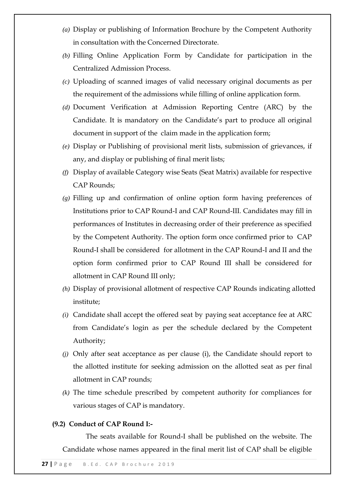- *(a)* Display or publishing of Information Brochure by the Competent Authority in consultation with the Concerned Directorate.
- *(b)* Filling Online Application Form by Candidate for participation in the Centralized Admission Process.
- *(c)* Uploading of scanned images of valid necessary original documents as per the requirement of the admissions while filling of online application form.
- *(d)* Document Verification at Admission Reporting Centre (ARC) by the Candidate. It is mandatory on the Candidate's part to produce all original document in support of the claim made in the application form;
- *(e)* Display or Publishing of provisional merit lists, submission of grievances, if any, and display or publishing of final merit lists;
- *(f)* Display of available Category wise Seats (Seat Matrix) available for respective CAP Rounds;
- *(g)* Filling up and confirmation of online option form having preferences of Institutions prior to CAP Round-I and CAP Round-III. Candidates may fill in performances of Institutes in decreasing order of their preference as specified by the Competent Authority. The option form once confirmed prior to CAP Round-I shall be considered for allotment in the CAP Round-I and II and the option form confirmed prior to CAP Round III shall be considered for allotment in CAP Round III only;
- *(h)* Display of provisional allotment of respective CAP Rounds indicating allotted institute;
- *(i)* Candidate shall accept the offered seat by paying seat acceptance fee at ARC from Candidate's login as per the schedule declared by the Competent Authority;
- *(j)* Only after seat acceptance as per clause (i), the Candidate should report to the allotted institute for seeking admission on the allotted seat as per final allotment in CAP rounds;
- *(k)* The time schedule prescribed by competent authority for compliances for various stages of CAP is mandatory.

### **(9.2) Conduct of CAP Round I:-**

The seats available for Round-I shall be published on the website. The Candidate whose names appeared in the final merit list of CAP shall be eligible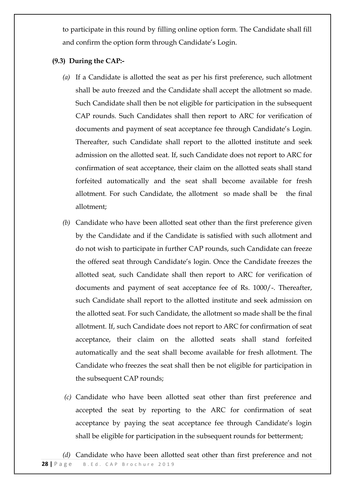to participate in this round by filling online option form. The Candidate shall fill and confirm the option form through Candidate's Login.

# **(9.3) During the CAP:-**

- *(a)* If a Candidate is allotted the seat as per his first preference, such allotment shall be auto freezed and the Candidate shall accept the allotment so made. Such Candidate shall then be not eligible for participation in the subsequent CAP rounds. Such Candidates shall then report to ARC for verification of documents and payment of seat acceptance fee through Candidate's Login. Thereafter, such Candidate shall report to the allotted institute and seek admission on the allotted seat. If, such Candidate does not report to ARC for confirmation of seat acceptance, their claim on the allotted seats shall stand forfeited automatically and the seat shall become available for fresh allotment. For such Candidate, the allotment so made shall be the final allotment;
- *(b)* Candidate who have been allotted seat other than the first preference given by the Candidate and if the Candidate is satisfied with such allotment and do not wish to participate in further CAP rounds, such Candidate can freeze the offered seat through Candidate's login. Once the Candidate freezes the allotted seat, such Candidate shall then report to ARC for verification of documents and payment of seat acceptance fee of Rs. 1000/-. Thereafter, such Candidate shall report to the allotted institute and seek admission on the allotted seat. For such Candidate, the allotment so made shall be the final allotment. If, such Candidate does not report to ARC for confirmation of seat acceptance, their claim on the allotted seats shall stand forfeited automatically and the seat shall become available for fresh allotment. The Candidate who freezes the seat shall then be not eligible for participation in the subsequent CAP rounds;
- *(c)* Candidate who have been allotted seat other than first preference and accepted the seat by reporting to the ARC for confirmation of seat acceptance by paying the seat acceptance fee through Candidate's login shall be eligible for participation in the subsequent rounds for betterment;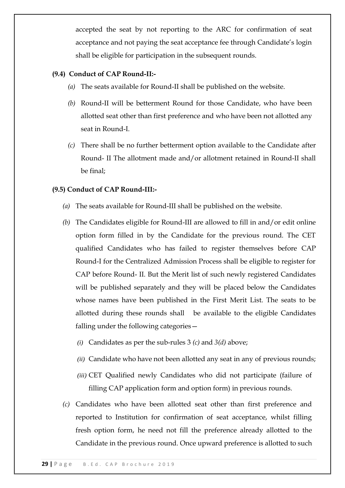accepted the seat by not reporting to the ARC for confirmation of seat acceptance and not paying the seat acceptance fee through Candidate's login shall be eligible for participation in the subsequent rounds.

# **(9.4) Conduct of CAP Round-II:-**

- *(a)* The seats available for Round-II shall be published on the website.
- *(b)* Round-II will be betterment Round for those Candidate, who have been allotted seat other than first preference and who have been not allotted any seat in Round-I.
- *(c)* There shall be no further betterment option available to the Candidate after Round- II The allotment made and/or allotment retained in Round-II shall be final;

### **(9.5) Conduct of CAP Round-III:-**

- *(a)* The seats available for Round-III shall be published on the website.
- *(b)* The Candidates eligible for Round-III are allowed to fill in and/or edit online option form filled in by the Candidate for the previous round. The CET qualified Candidates who has failed to register themselves before CAP Round-I for the Centralized Admission Process shall be eligible to register for CAP before Round- II. But the Merit list of such newly registered Candidates will be published separately and they will be placed below the Candidates whose names have been published in the First Merit List. The seats to be allotted during these rounds shall be available to the eligible Candidates falling under the following categories—
	- *(i)* Candidates as per the sub-rules 3 *(c)* and *3(d)* above;
	- *(ii)* Candidate who have not been allotted any seat in any of previous rounds;
	- *(iii)* CET Qualified newly Candidates who did not participate (failure of filling CAP application form and option form) in previous rounds.
- *(c)* Candidates who have been allotted seat other than first preference and reported to Institution for confirmation of seat acceptance, whilst filling fresh option form, he need not fill the preference already allotted to the Candidate in the previous round. Once upward preference is allotted to such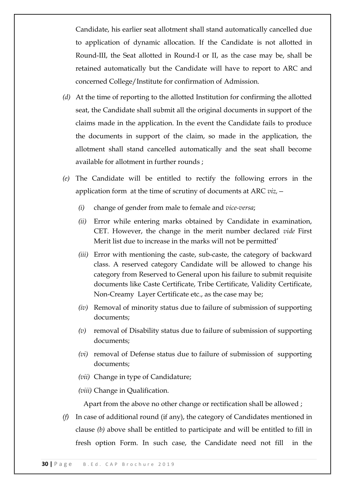Candidate, his earlier seat allotment shall stand automatically cancelled due to application of dynamic allocation. If the Candidate is not allotted in Round-III, the Seat allotted in Round-I or II, as the case may be, shall be retained automatically but the Candidate will have to report to ARC and concerned College/Institute for confirmation of Admission.

- *(d)* At the time of reporting to the allotted Institution for confirming the allotted seat, the Candidate shall submit all the original documents in support of the claims made in the application. In the event the Candidate fails to produce the documents in support of the claim, so made in the application, the allotment shall stand cancelled automatically and the seat shall become available for allotment in further rounds ;
- *(e)* The Candidate will be entitled to rectify the following errors in the application form at the time of scrutiny of documents at ARC *viz,—*
	- *(i)* change of gender from male to female and *vice-versa*;
	- *(ii)* Error while entering marks obtained by Candidate in examination, CET. However, the change in the merit number declared *vide* First Merit list due to increase in the marks will not be permitted'
	- *(iii)* Error with mentioning the caste, sub-caste, the category of backward class. A reserved category Candidate will be allowed to change his category from Reserved to General upon his failure to submit requisite documents like Caste Certificate, Tribe Certificate, Validity Certificate, Non-Creamy Layer Certificate etc., as the case may be;
	- *(iv)* Removal of minority status due to failure of submission of supporting documents;
	- *(v)* removal of Disability status due to failure of submission of supporting documents;
	- *(vi)* removal of Defense status due to failure of submission of supporting documents;
	- *(vii)* Change in type of Candidature;

*(viii)* Change in Qualification.

Apart from the above no other change or rectification shall be allowed ;

*(f)* In case of additional round (if any), the category of Candidates mentioned in clause *(b)* above shall be entitled to participate and will be entitled to fill in fresh option Form. In such case, the Candidate need not fill in the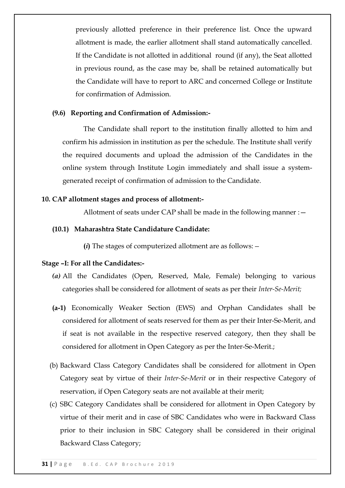previously allotted preference in their preference list. Once the upward allotment is made, the earlier allotment shall stand automatically cancelled. If the Candidate is not allotted in additional round (if any), the Seat allotted in previous round, as the case may be, shall be retained automatically but the Candidate will have to report to ARC and concerned College or Institute for confirmation of Admission.

### **(9.6) Reporting and Confirmation of Admission:-**

The Candidate shall report to the institution finally allotted to him and confirm his admission in institution as per the schedule. The Institute shall verify the required documents and upload the admission of the Candidates in the online system through Institute Login immediately and shall issue a systemgenerated receipt of confirmation of admission to the Candidate.

### **10. CAP allotment stages and process of allotment:-**

Allotment of seats under CAP shall be made in the following manner :  $-$ 

#### **(10.1) Maharashtra State Candidature Candidate:**

**(***i***)** The stages of computerized allotment are as follows:*—*

#### **Stage –I: For all the Candidates:-**

- *(a)* All the Candidates (Open, Reserved, Male, Female) belonging to various categories shall be considered for allotment of seats as per their *Inter-Se-Merit;*
- **(a-1)** Economically Weaker Section (EWS) and Orphan Candidates shall be considered for allotment of seats reserved for them as per their Inter-Se-Merit, and if seat is not available in the respective reserved category, then they shall be considered for allotment in Open Category as per the Inter-Se-Merit.;
- (b) Backward Class Category Candidates shall be considered for allotment in Open Category seat by virtue of their *Inter-Se-Merit* or in their respective Category of reservation, if Open Category seats are not available at their merit;
- (c) SBC Category Candidates shall be considered for allotment in Open Category by virtue of their merit and in case of SBC Candidates who were in Backward Class prior to their inclusion in SBC Category shall be considered in their original Backward Class Category;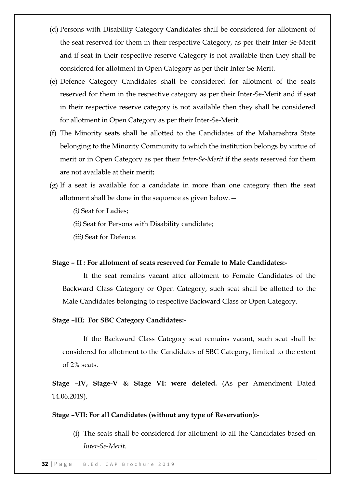- (d) Persons with Disability Category Candidates shall be considered for allotment of the seat reserved for them in their respective Category, as per their Inter-Se-Merit and if seat in their respective reserve Category is not available then they shall be considered for allotment in Open Category as per their Inter-Se-Merit.
- (e) Defence Category Candidates shall be considered for allotment of the seats reserved for them in the respective category as per their Inter-Se-Merit and if seat in their respective reserve category is not available then they shall be considered for allotment in Open Category as per their Inter-Se-Merit.
- (f) The Minority seats shall be allotted to the Candidates of the Maharashtra State belonging to the Minority Community to which the institution belongs by virtue of merit or in Open Category as per their *Inter-Se-Merit* if the seats reserved for them are not available at their merit;
- (g) If a seat is available for a candidate in more than one category then the seat allotment shall be done in the sequence as given below.—
	- *(i)* Seat for Ladies;
	- *(ii)* Seat for Persons with Disability candidate;
	- *(iii)* Seat for Defence.

### **Stage – II** *:* **For allotment of seats reserved for Female to Male Candidates:-**

If the seat remains vacant after allotment to Female Candidates of the Backward Class Category or Open Category, such seat shall be allotted to the Male Candidates belonging to respective Backward Class or Open Category.

### **Stage –III***:* **For SBC Category Candidates:-**

If the Backward Class Category seat remains vacant, such seat shall be considered for allotment to the Candidates of SBC Category, limited to the extent of 2% seats.

**Stage –IV, Stage-V & Stage VI: were deleted.** (As per Amendment Dated 14.06.2019).

#### **Stage –VII: For all Candidates (without any type of Reservation):-**

(i) The seats shall be considered for allotment to all the Candidates based on *Inter-Se-Merit.*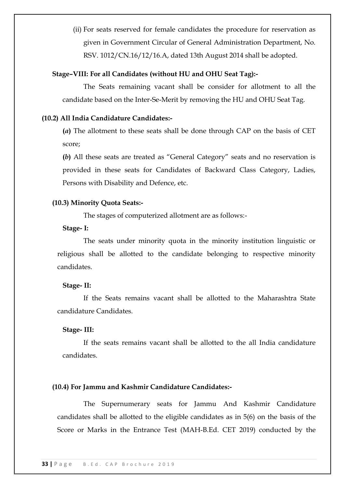(ii) For seats reserved for female candidates the procedure for reservation as given in Government Circular of General Administration Department, No. RSV. 1012/CN.16/12/16.A, dated 13th August 2014 shall be adopted.

### **Stage–VIII: For all Candidates (without HU and OHU Seat Tag):-**

The Seats remaining vacant shall be consider for allotment to all the candidate based on the Inter-Se-Merit by removing the HU and OHU Seat Tag.

#### **(10.2) All India Candidature Candidates:-**

**(***a***)** The allotment to these seats shall be done through CAP on the basis of CET score;

**(b)** All these seats are treated as "General Category" seats and no reservation is provided in these seats for Candidates of Backward Class Category, Ladies, Persons with Disability and Defence, etc.

### **(10.3) Minority Quota Seats:-**

The stages of computerized allotment are as follows:-

#### **Stage- I:**

The seats under minority quota in the minority institution linguistic or religious shall be allotted to the candidate belonging to respective minority candidates.

#### **Stage- II:**

If the Seats remains vacant shall be allotted to the Maharashtra State candidature Candidates.

#### **Stage- III:**

If the seats remains vacant shall be allotted to the all India candidature candidates.

### **(10.4) For Jammu and Kashmir Candidature Candidates:-**

The Supernumerary seats for Jammu And Kashmir Candidature candidates shall be allotted to the eligible candidates as in 5(6) on the basis of the Score or Marks in the Entrance Test (MAH-B.Ed. CET 2019) conducted by the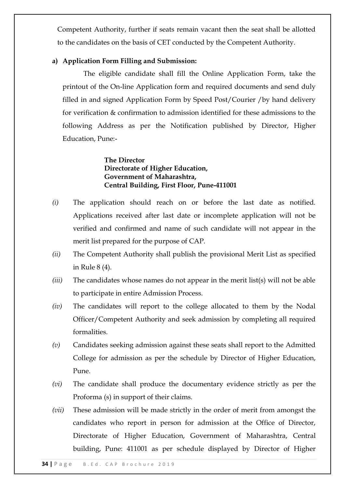Competent Authority, further if seats remain vacant then the seat shall be allotted to the candidates on the basis of CET conducted by the Competent Authority.

# **a) Application Form Filling and Submission:**

The eligible candidate shall fill the Online Application Form, take the printout of the On-line Application form and required documents and send duly filled in and signed Application Form by Speed Post/Courier /by hand delivery for verification & confirmation to admission identified for these admissions to the following Address as per the Notification published by Director, Higher Education, Pune:-

> **The Director Directorate of Higher Education, Government of Maharashtra, Central Building, First Floor, Pune-411001**

- *(i)* The application should reach on or before the last date as notified. Applications received after last date or incomplete application will not be verified and confirmed and name of such candidate will not appear in the merit list prepared for the purpose of CAP.
- *(ii)* The Competent Authority shall publish the provisional Merit List as specified in Rule 8 (4).
- *(iii)* The candidates whose names do not appear in the merit list(s) will not be able to participate in entire Admission Process.
- *(iv)* The candidates will report to the college allocated to them by the Nodal Officer/Competent Authority and seek admission by completing all required formalities.
- *(v)* Candidates seeking admission against these seats shall report to the Admitted College for admission as per the schedule by Director of Higher Education, Pune.
- *(vi)* The candidate shall produce the documentary evidence strictly as per the Proforma (s) in support of their claims.
- *(vii)* These admission will be made strictly in the order of merit from amongst the candidates who report in person for admission at the Office of Director, Directorate of Higher Education, Government of Maharashtra, Central building, Pune: 411001 as per schedule displayed by Director of Higher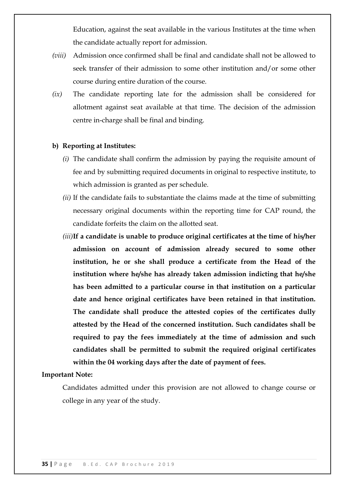Education, against the seat available in the various Institutes at the time when the candidate actually report for admission.

- *(viii)* Admission once confirmed shall be final and candidate shall not be allowed to seek transfer of their admission to some other institution and/or some other course during entire duration of the course.
- *(ix)* The candidate reporting late for the admission shall be considered for allotment against seat available at that time. The decision of the admission centre in-charge shall be final and binding.

#### **b) Reporting at Institutes:**

- *(i)* The candidate shall confirm the admission by paying the requisite amount of fee and by submitting required documents in original to respective institute, to which admission is granted as per schedule.
- *(ii)* If the candidate fails to substantiate the claims made at the time of submitting necessary original documents within the reporting time for CAP round, the candidate forfeits the claim on the allotted seat.
- *(iii)***If a candidate is unable to produce original certificates at the time of his/her admission on account of admission already secured to some other institution, he or she shall produce a certificate from the Head of the institution where he/she has already taken admission indicting that he/she has been admitted to a particular course in that institution on a particular date and hence original certificates have been retained in that institution. The candidate shall produce the attested copies of the certificates dully attested by the Head of the concerned institution. Such candidates shall be required to pay the fees immediately at the time of admission and such candidates shall be permitted to submit the required original certificates within the 04 working days after the date of payment of fees.**

#### **Important Note:**

Candidates admitted under this provision are not allowed to change course or college in any year of the study.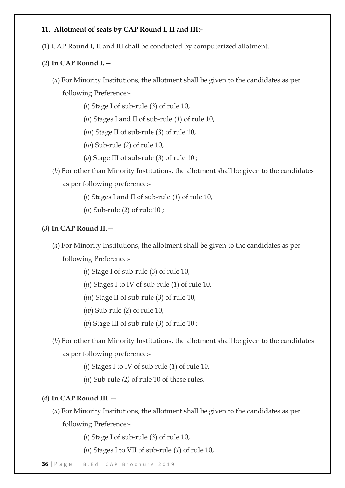# **11. Allotment of seats by CAP Round I, II and III:-**

**(1)** CAP Round I, II and III shall be conducted by computerized allotment.

# **(2) In CAP Round I.—**

- (*a*) For Minority Institutions, the allotment shall be given to the candidates as per following Preference:-
	- (*i*) Stage I of sub-rule (*3*) of rule 10,
	- (*ii*) Stages I and II of sub-rule (*1*) of rule 10,
	- (*iii*) Stage II of sub-rule (*3*) of rule 10,
	- (*iv*) Sub-rule (*2*) of rule 10,
	- (*v*) Stage III of sub-rule (*3*) of rule 10 ;
- (*b*) For other than Minority Institutions, the allotment shall be given to the candidates as per following preference:-
	- (*i*) Stages I and II of sub-rule (*1*) of rule 10,
	- (*ii*) Sub-rule (*2*) of rule 10 ;

# **(***3***) In CAP Round II.—**

- (*a*) For Minority Institutions, the allotment shall be given to the candidates as per following Preference:-
	- (*i*) Stage I of sub-rule (*3*) of rule 10,
	- (*ii*) Stages I to IV of sub-rule (*1*) of rule 10,
	- (*iii*) Stage II of sub-rule (*3*) of rule 10,
	- (*iv*) Sub-rule (*2*) of rule 10,
	- (*v*) Stage III of sub-rule (*3*) of rule 10 ;
- (*b*) For other than Minority Institutions, the allotment shall be given to the candidates as per following preference:-
	- (*i*) Stages I to IV of sub-rule (*1*) of rule 10,
	- (*ii*) Sub-rule *(2)* of rule 10 of these rules.

# **(***4***) In CAP Round III.—**

(*a*) For Minority Institutions, the allotment shall be given to the candidates as per following Preference:-

(*i*) Stage I of sub-rule (*3*) of rule 10,

(*ii*) Stages I to VII of sub-rule (*1*) of rule 10,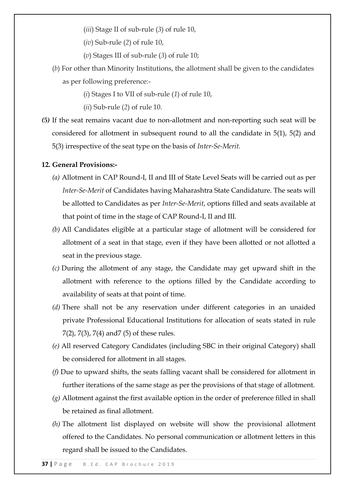- (*iii*) Stage II of sub-rule (*3*) of rule 10,
- (*iv*) Sub-rule (*2*) of rule 10,
- (*v*) Stages III of sub-rule (*3*) of rule 10;
- (*b*) For other than Minority Institutions, the allotment shall be given to the candidates as per following preference:-
	- (*i*) Stages I to VII of sub-rule (*1*) of rule 10,
	- (*ii*) Sub-rule (*2*) of rule 10.
- *(5)* If the seat remains vacant due to non-allotment and non-reporting such seat will be considered for allotment in subsequent round to all the candidate in 5(1), 5(2) and 5(3) irrespective of the seat type on the basis of *Inter-Se-Merit.*

#### **12. General Provisions:-**

- *(a)* Allotment in CAP Round-I, II and III of State Level Seats will be carried out as per *Inter-Se-Merit* of Candidates having Maharashtra State Candidature. The seats will be allotted to Candidates as per *Inter-Se-Merit*, options filled and seats available at that point of time in the stage of CAP Round-I, II and III.
- *(b)* All Candidates eligible at a particular stage of allotment will be considered for allotment of a seat in that stage, even if they have been allotted or not allotted a seat in the previous stage.
- *(c)* During the allotment of any stage, the Candidate may get upward shift in the allotment with reference to the options filled by the Candidate according to availability of seats at that point of time.
- *(d)* There shall not be any reservation under different categories in an unaided private Professional Educational Institutions for allocation of seats stated in rule 7(2), 7(3), 7(4) and7 (5) of these rules.
- *(e)* All reserved Category Candidates (including SBC in their original Category) shall be considered for allotment in all stages.
- *(f)* Due to upward shifts, the seats falling vacant shall be considered for allotment in further iterations of the same stage as per the provisions of that stage of allotment.
- *(g)* Allotment against the first available option in the order of preference filled in shall be retained as final allotment.
- *(h)* The allotment list displayed on website will show the provisional allotment offered to the Candidates. No personal communication or allotment letters in this regard shall be issued to the Candidates.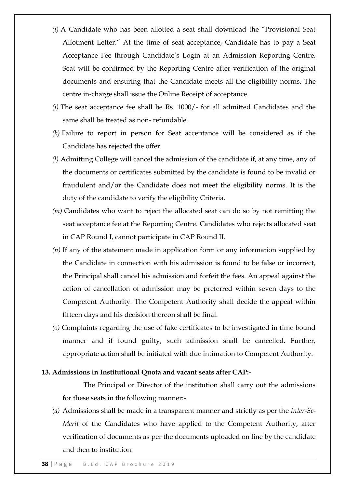- *(i)* A Candidate who has been allotted a seat shall download the "Provisional Seat" Allotment Letter." At the time of seat acceptance, Candidate has to pay a Seat Acceptance Fee through Candidate's Login at an Admission Reporting Centre. Seat will be confirmed by the Reporting Centre after verification of the original documents and ensuring that the Candidate meets all the eligibility norms. The centre in-charge shall issue the Online Receipt of acceptance.
- *(j)* The seat acceptance fee shall be Rs. 1000/- for all admitted Candidates and the same shall be treated as non- refundable.
- *(k)* Failure to report in person for Seat acceptance will be considered as if the Candidate has rejected the offer.
- *(l)* Admitting College will cancel the admission of the candidate if, at any time, any of the documents or certificates submitted by the candidate is found to be invalid or fraudulent and/or the Candidate does not meet the eligibility norms. It is the duty of the candidate to verify the eligibility Criteria.
- *(m)* Candidates who want to reject the allocated seat can do so by not remitting the seat acceptance fee at the Reporting Centre. Candidates who rejects allocated seat in CAP Round I, cannot participate in CAP Round II.
- *(n)* If any of the statement made in application form or any information supplied by the Candidate in connection with his admission is found to be false or incorrect, the Principal shall cancel his admission and forfeit the fees. An appeal against the action of cancellation of admission may be preferred within seven days to the Competent Authority. The Competent Authority shall decide the appeal within fifteen days and his decision thereon shall be final.
- *(o)* Complaints regarding the use of fake certificates to be investigated in time bound manner and if found guilty, such admission shall be cancelled. Further, appropriate action shall be initiated with due intimation to Competent Authority.

# **13. Admissions in Institutional Quota and vacant seats after CAP:-**

The Principal or Director of the institution shall carry out the admissions for these seats in the following manner:-

*(a)* Admissions shall be made in a transparent manner and strictly as per the *Inter-Se-Merit* of the Candidates who have applied to the Competent Authority, after verification of documents as per the documents uploaded on line by the candidate and then to institution.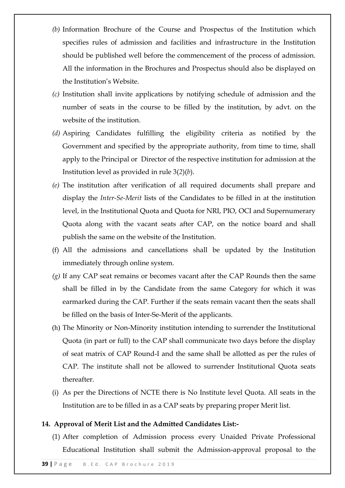- *(b)* Information Brochure of the Course and Prospectus of the Institution which specifies rules of admission and facilities and infrastructure in the Institution should be published well before the commencement of the process of admission. All the information in the Brochures and Prospectus should also be displayed on the Institution's Website.
- *(c)* Institution shall invite applications by notifying schedule of admission and the number of seats in the course to be filled by the institution, by advt. on the website of the institution.
- *(d)* Aspiring Candidates fulfilling the eligibility criteria as notified by the Government and specified by the appropriate authority, from time to time, shall apply to the Principal or Director of the respective institution for admission at the Institution level as provided in rule 3(*2*)(*b*).
- *(e)* The institution after verification of all required documents shall prepare and display the *Inter-Se-Merit* lists of the Candidates to be filled in at the institution level, in the Institutional Quota and Quota for NRI, PIO, OCI and Supernumerary Quota along with the vacant seats after CAP, on the notice board and shall publish the same on the website of the Institution.
- (f) All the admissions and cancellations shall be updated by the Institution immediately through online system.
- *(g)* If any CAP seat remains or becomes vacant after the CAP Rounds then the same shall be filled in by the Candidate from the same Category for which it was earmarked during the CAP. Further if the seats remain vacant then the seats shall be filled on the basis of Inter-Se-Merit of the applicants.
- (h) The Minority or Non-Minority institution intending to surrender the Institutional Quota (in part or full) to the CAP shall communicate two days before the display of seat matrix of CAP Round-I and the same shall be allotted as per the rules of CAP. The institute shall not be allowed to surrender Institutional Quota seats thereafter.
- (i) As per the Directions of NCTE there is No Institute level Quota. All seats in the Institution are to be filled in as a CAP seats by preparing proper Merit list.

### **14. Approval of Merit List and the Admitted Candidates List:-**

(1) After completion of Admission process every Unaided Private Professional Educational Institution shall submit the Admission-approval proposal to the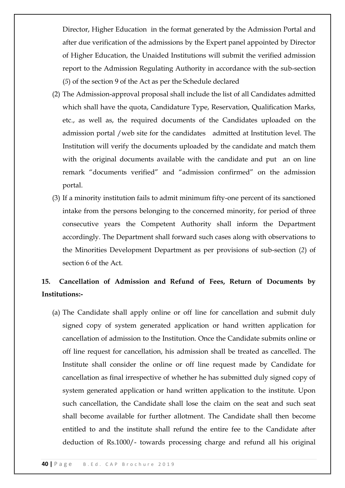Director, Higher Education in the format generated by the Admission Portal and after due verification of the admissions by the Expert panel appointed by Director of Higher Education, the Unaided Institutions will submit the verified admission report to the Admission Regulating Authority in accordance with the sub-section (*5*) of the section 9 of the Act as per the Schedule declared

- (2) The Admission-approval proposal shall include the list of all Candidates admitted which shall have the quota, Candidature Type, Reservation, Qualification Marks, etc., as well as, the required documents of the Candidates uploaded on the admission portal /web site for the candidates admitted at Institution level. The Institution will verify the documents uploaded by the candidate and match them with the original documents available with the candidate and put an on line remark "documents verified" and "admission confirmed" on the admission portal.
- (3) If a minority institution fails to admit minimum fifty-one percent of its sanctioned intake from the persons belonging to the concerned minority, for period of three consecutive years the Competent Authority shall inform the Department accordingly. The Department shall forward such cases along with observations to the Minorities Development Department as per provisions of sub-section (*2*) of section 6 of the Act.

# **15. Cancellation of Admission and Refund of Fees, Return of Documents by Institutions:-**

(a) The Candidate shall apply online or off line for cancellation and submit duly signed copy of system generated application or hand written application for cancellation of admission to the Institution. Once the Candidate submits online or off line request for cancellation, his admission shall be treated as cancelled. The Institute shall consider the online or off line request made by Candidate for cancellation as final irrespective of whether he has submitted duly signed copy of system generated application or hand written application to the institute. Upon such cancellation, the Candidate shall lose the claim on the seat and such seat shall become available for further allotment. The Candidate shall then become entitled to and the institute shall refund the entire fee to the Candidate after deduction of Rs.1000/- towards processing charge and refund all his original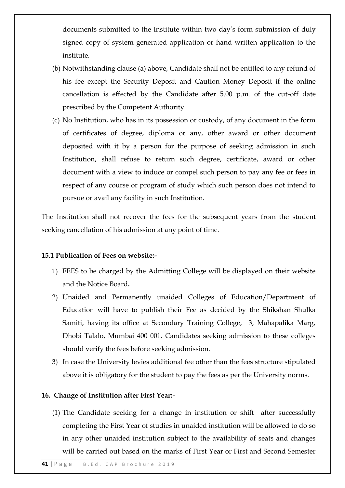documents submitted to the Institute within two day's form submission of duly signed copy of system generated application or hand written application to the institute.

- (b) Notwithstanding clause (a) above, Candidate shall not be entitled to any refund of his fee except the Security Deposit and Caution Money Deposit if the online cancellation is effected by the Candidate after 5.00 p.m. of the cut-off date prescribed by the Competent Authority.
- (c) No Institution, who has in its possession or custody, of any document in the form of certificates of degree, diploma or any, other award or other document deposited with it by a person for the purpose of seeking admission in such Institution, shall refuse to return such degree, certificate, award or other document with a view to induce or compel such person to pay any fee or fees in respect of any course or program of study which such person does not intend to pursue or avail any facility in such Institution.

The Institution shall not recover the fees for the subsequent years from the student seeking cancellation of his admission at any point of time.

# **15.1 Publication of Fees on website:-**

- 1) FEES to be charged by the Admitting College will be displayed on their website and the Notice Board**.**
- 2) Unaided and Permanently unaided Colleges of Education/Department of Education will have to publish their Fee as decided by the Shikshan Shulka Samiti, having its office at Secondary Training College, 3, Mahapalika Marg, Dhobi Talalo, Mumbai 400 001. Candidates seeking admission to these colleges should verify the fees before seeking admission.
- 3) In case the University levies additional fee other than the fees structure stipulated above it is obligatory for the student to pay the fees as per the University norms.

### **16. Change of Institution after First Year:-**

(1) The Candidate seeking for a change in institution or shift after successfully completing the First Year of studies in unaided institution will be allowed to do so in any other unaided institution subject to the availability of seats and changes will be carried out based on the marks of First Year or First and Second Semester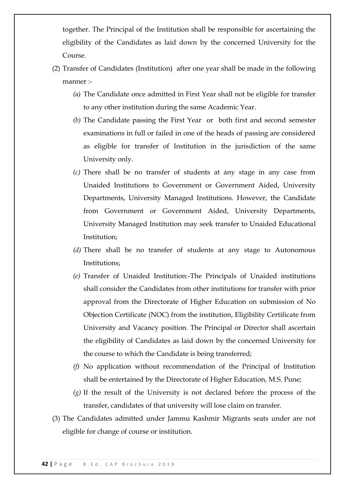together. The Principal of the Institution shall be responsible for ascertaining the eligibility of the Candidates as laid down by the concerned University for the Course.

- (2) Transfer of Candidates (Institution) after one year shall be made in the following manner :-
	- *(a)* The Candidate once admitted in First Year shall not be eligible for transfer to any other institution during the same Academic Year.
	- *(b)* The Candidate passing the First Year or both first and second semester examinations in full or failed in one of the heads of passing are considered as eligible for transfer of Institution in the jurisdiction of the same University only.
	- *(c)* There shall be no transfer of students at any stage in any case from Unaided Institutions to Government or Government Aided, University Departments, University Managed Institutions. However, the Candidate from Government or Government Aided, University Departments, University Managed Institution may seek transfer to Unaided Educational Institution;
	- *(d)* There shall be no transfer of students at any stage to Autonomous Institutions;
	- *(e)* Transfer of Unaided Institution:-The Principals of Unaided institutions shall consider the Candidates from other institutions for transfer with prior approval from the Directorate of Higher Education on submission of No Objection Certificate (NOC) from the institution, Eligibility Certificate from University and Vacancy position. The Principal or Director shall ascertain the eligibility of Candidates as laid down by the concerned University for the course to which the Candidate is being transferred;
	- *(f)* No application without recommendation of the Principal of Institution shall be entertained by the Directorate of Higher Education, M.S. Pune;
	- *(g)* If the result of the University is not declared before the process of the transfer, candidates of that university will lose claim on transfer.
- (3) The Candidates admitted under Jammu Kashmir Migrants seats under are not eligible for change of course or institution.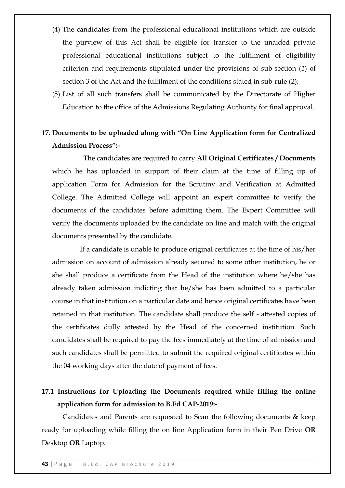- (4) The candidates from the professional educational institutions which are outside the purview of this Act shall be eligible for transfer to the unaided private professional educational institutions subject to the fulfilment of eligibility criterion and requirements stipulated under the provisions of sub-section (*1*) of section 3 of the Act and the fulfilment of the conditions stated in sub-rule (2);
- (5) List of all such transfers shall be communicated by the Directorate of Higher Education to the office of the Admissions Regulating Authority for final approval.

# 17. Documents to be uploaded along with "On Line Application form for Centralized **Admission Process‖:-**

The candidates are required to carry **All Original Certificates / Documents** which he has uploaded in support of their claim at the time of filling up of application Form for Admission for the Scrutiny and Verification at Admitted College. The Admitted College will appoint an expert committee to verify the documents of the candidates before admitting them. The Expert Committee will verify the documents uploaded by the candidate on line and match with the original documents presented by the candidate.

If a candidate is unable to produce original certificates at the time of his/her admission on account of admission already secured to some other institution, he or she shall produce a certificate from the Head of the institution where he/she has already taken admission indicting that he/she has been admitted to a particular course in that institution on a particular date and hence original certificates have been retained in that institution. The candidate shall produce the self - attested copies of the certificates dully attested by the Head of the concerned institution. Such candidates shall be required to pay the fees immediately at the time of admission and such candidates shall be permitted to submit the required original certificates within the 04 working days after the date of payment of fees.

# **17.1 Instructions for Uploading the Documents required while filling the online application form for admission to B.Ed CAP-2019:-**

Candidates and Parents are requested to Scan the following documents & keep ready for uploading while filling the on line Application form in their Pen Drive **OR** Desktop **OR** Laptop.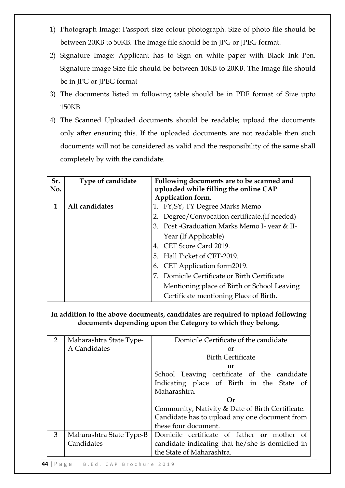- 1) Photograph Image: Passport size colour photograph. Size of photo file should be between 20KB to 50KB. The Image file should be in JPG or JPEG format.
- 2) Signature Image: Applicant has to Sign on white paper with Black Ink Pen. Signature image Size file should be between 10KB to 20KB. The Image file should be in JPG or JPEG format
- 3) The documents listed in following table should be in PDF format of Size upto 150KB.
- 4) The Scanned Uploaded documents should be readable; upload the documents only after ensuring this. If the uploaded documents are not readable then such documents will not be considered as valid and the responsibility of the same shall completely by with the candidate.

| Sr.<br>No.     | Type of candidate        | Following documents are to be scanned and<br>uploaded while filling the online CAP<br>Application form.                                        |
|----------------|--------------------------|------------------------------------------------------------------------------------------------------------------------------------------------|
| $\mathbf{1}$   | All candidates           | 1. FY, SY, TY Degree Marks Memo                                                                                                                |
|                |                          | Degree/Convocation certificate.(If needed)<br>2.                                                                                               |
|                |                          | 3. Post -Graduation Marks Memo I- year & II-                                                                                                   |
|                |                          | Year (If Applicable)                                                                                                                           |
|                |                          | 4. CET Score Card 2019.                                                                                                                        |
|                |                          | 5. Hall Ticket of CET-2019.                                                                                                                    |
|                |                          | 6. CET Application form2019.                                                                                                                   |
|                |                          | 7. Domicile Certificate or Birth Certificate                                                                                                   |
|                |                          | Mentioning place of Birth or School Leaving                                                                                                    |
|                |                          | Certificate mentioning Place of Birth.                                                                                                         |
|                |                          | In addition to the above documents, candidates are required to upload following<br>documents depending upon the Category to which they belong. |
| $\overline{2}$ | Maharashtra State Type-  | Domicile Certificate of the candidate                                                                                                          |
|                | A Candidates             | or                                                                                                                                             |
|                |                          | <b>Birth Certificate</b><br>or                                                                                                                 |
|                |                          | School Leaving certificate of the candidate                                                                                                    |
|                |                          | Indicating place of Birth in the<br>State of<br>Maharashtra.                                                                                   |
|                |                          | $\Omega$ r                                                                                                                                     |
|                |                          | Community, Nativity & Date of Birth Certificate.                                                                                               |
|                |                          | Candidate has to upload any one document from<br>these four document.                                                                          |
| 3              | Maharashtra State Type-B | Domicile certificate of father or mother of                                                                                                    |
|                | Candidates               | candidate indicating that he/she is domiciled in<br>the State of Maharashtra.                                                                  |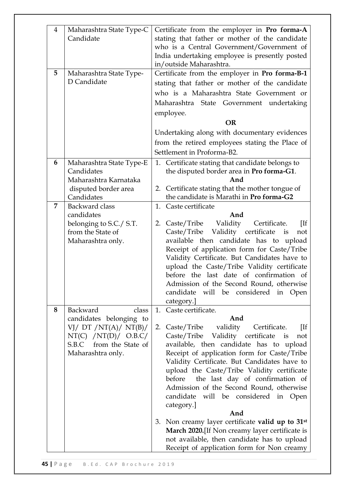| 4<br>5         | Maharashtra State Type-C<br>Candidate<br>Maharashtra State Type-<br>D Candidate                                                                  | Certificate from the employer in Pro forma-A<br>stating that father or mother of the candidate<br>who is a Central Government/Government of<br>India undertaking employee is presently posted<br>in/outside Maharashtra.<br>Certificate from the employer in Pro forma-B-1<br>stating that father or mother of the candidate<br>who is a Maharashtra State Government or<br>Maharashtra State Government undertaking                                                                                                                                                                                                                                                                                                                                                                                                                                                                                                                                                                                                                                                                                                                    |
|----------------|--------------------------------------------------------------------------------------------------------------------------------------------------|-----------------------------------------------------------------------------------------------------------------------------------------------------------------------------------------------------------------------------------------------------------------------------------------------------------------------------------------------------------------------------------------------------------------------------------------------------------------------------------------------------------------------------------------------------------------------------------------------------------------------------------------------------------------------------------------------------------------------------------------------------------------------------------------------------------------------------------------------------------------------------------------------------------------------------------------------------------------------------------------------------------------------------------------------------------------------------------------------------------------------------------------|
|                |                                                                                                                                                  | employee.<br><b>OR</b><br>Undertaking along with documentary evidences<br>from the retired employees stating the Place of<br>Settlement in Proforma-B2.                                                                                                                                                                                                                                                                                                                                                                                                                                                                                                                                                                                                                                                                                                                                                                                                                                                                                                                                                                                 |
| 6              | Maharashtra State Type-E<br>Candidates<br>Maharashtra Karnataka<br>disputed border area<br>Candidates                                            | 1. Certificate stating that candidate belongs to<br>the disputed border area in Pro forma-G1.<br>And<br>2. Certificate stating that the mother tongue of<br>the candidate is Marathi in Pro forma-G2                                                                                                                                                                                                                                                                                                                                                                                                                                                                                                                                                                                                                                                                                                                                                                                                                                                                                                                                    |
| $\overline{7}$ | <b>Backward</b> class<br>candidates<br>belonging to S.C./ S.T.<br>from the State of<br>Maharashtra only.                                         | 1. Caste certificate<br>And<br>Validity<br>Caste/Tribe<br>Certificate.<br>$[If]% \begin{center} \includegraphics[width=8cm]{cd_a}\ \includegraphics[width=8cm]{cd_a}\ \includegraphics[width=8cm]{cd_a}\ \includegraphics[width=8cm]{cd_a}\ \includegraphics[width=8cm]{cd_a}\ \includegraphics[width=8cm]{cd_a}\ \includegraphics[width=8cm]{cd_a}\ \includegraphics[width=8cm]{cd_a}\ \includegraphics[width=8cm]{cd_a}\ \includegraphics[width=8cm]{cd_a}\ \includegraphics[width=8cm]{cd_a}\ \includegraphics[width=8cm]{cd_a}\ \includegraphics[width=8cm]{cd_a}\ \includegraphics[width=8cm]{cd_a}\ \includegraphics[width=8cm]{cd_a}\ \includegraphics[width=8cm]{cd_a}\ \includegraphics[width=8cm]{cd_a}\ \includegraphics[width=8cm$<br>2.<br>Caste/Tribe Validity certificate is<br>not<br>available then candidate has to upload<br>Receipt of application form for Caste/Tribe<br>Validity Certificate. But Candidates have to<br>upload the Caste/Tribe Validity certificate<br>before the last date of confirmation of<br>Admission of the Second Round, otherwise<br>candidate will be considered in Open<br>category.] |
| 8              | Backward<br>class<br>candidates belonging to<br>VJ/ DT $/NT(A)/NT(B)/$<br>NT(C) / NT(D) / O.B.C/<br>S.B.C from the State of<br>Maharashtra only. | 1. Caste certificate.<br>And<br>Caste/Tribe validity<br>Certificate.<br>$[$ If<br>2.<br>Caste/Tribe Validity certificate is<br>not<br>available, then candidate has to upload<br>Receipt of application form for Caste/Tribe<br>Validity Certificate. But Candidates have to<br>upload the Caste/Tribe Validity certificate<br>the last day of confirmation of<br>before<br>Admission of the Second Round, otherwise<br>candidate will be considered in Open<br>category.]<br>And<br>3. Non creamy layer certificate valid up to 31 <sup>st</sup><br>March 2020. [If Non creamy layer certificate is<br>not available, then candidate has to upload<br>Receipt of application form for Non creamy                                                                                                                                                                                                                                                                                                                                                                                                                                       |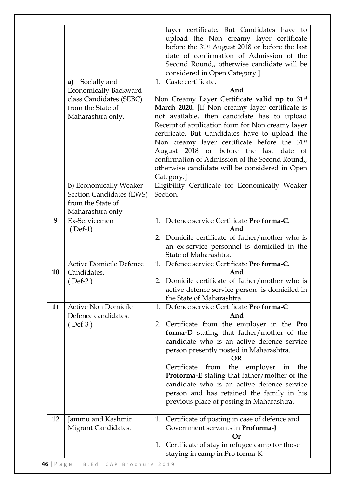|    | Socially and<br>a)<br><b>Economically Backward</b><br>class Candidates (SEBC)<br>from the State of<br>Maharashtra only. | layer certificate. But Candidates have to<br>upload the Non creamy layer certificate<br>before the 31 <sup>st</sup> August 2018 or before the last<br>date of confirmation of Admission of the<br>Second Round,, otherwise candidate will be<br>considered in Open Category.]<br>1. Caste certificate.<br>And<br>Non Creamy Layer Certificate valid up to 31 <sup>st</sup><br>March 2020. [If Non creamy layer certificate is<br>not available, then candidate has to upload<br>Receipt of application form for Non creamy layer<br>certificate. But Candidates have to upload the<br>Non creamy layer certificate before the 31 <sup>st</sup><br>August 2018 or before the last date<br>of<br>confirmation of Admission of the Second Round, |
|----|-------------------------------------------------------------------------------------------------------------------------|-----------------------------------------------------------------------------------------------------------------------------------------------------------------------------------------------------------------------------------------------------------------------------------------------------------------------------------------------------------------------------------------------------------------------------------------------------------------------------------------------------------------------------------------------------------------------------------------------------------------------------------------------------------------------------------------------------------------------------------------------|
|    | b) Economically Weaker<br>Section Candidates (EWS)<br>from the State of                                                 | otherwise candidate will be considered in Open<br>Category.]<br>Eligibility Certificate for Economically Weaker<br>Section.                                                                                                                                                                                                                                                                                                                                                                                                                                                                                                                                                                                                                   |
|    | Maharashtra only                                                                                                        |                                                                                                                                                                                                                                                                                                                                                                                                                                                                                                                                                                                                                                                                                                                                               |
| 9  | Ex-Servicemen<br>$(Def-1)$                                                                                              | 1. Defence service Certificate Pro forma-C.<br>And<br>2. Domicile certificate of father/mother who is<br>an ex-service personnel is domiciled in the<br>State of Maharashtra.                                                                                                                                                                                                                                                                                                                                                                                                                                                                                                                                                                 |
| 10 | <b>Active Domicile Defence</b><br>Candidates.<br>$($ Def-2 $)$                                                          | 1. Defence service Certificate Pro forma-C.<br>And<br>Domicile certificate of father/mother who is<br>active defence service person is domiciled in<br>the State of Maharashtra.                                                                                                                                                                                                                                                                                                                                                                                                                                                                                                                                                              |
| 11 | <b>Active Non Domicile</b><br>Defence candidates.<br>$(Def-3)$                                                          | Defence service Certificate Pro forma-C<br>1.<br>And<br>2. Certificate from the employer in the Pro<br>forma-D stating that father/mother of the<br>candidate who is an active defence service<br>person presently posted in Maharashtra.<br><b>OR</b><br>Certificate<br>from<br>the<br>employer<br>in<br>the<br><b>Proforma-E</b> stating that father/mother of the<br>candidate who is an active defence service<br>person and has retained the family in his<br>previous place of posting in Maharashtra.                                                                                                                                                                                                                                  |
| 12 | Jammu and Kashmir<br>Migrant Candidates.                                                                                | Certificate of posting in case of defence and<br>1.<br>Government servants in Proforma-J<br>Оr<br>Certificate of stay in refugee camp for those<br>1.<br>staying in camp in Pro forma-K                                                                                                                                                                                                                                                                                                                                                                                                                                                                                                                                                       |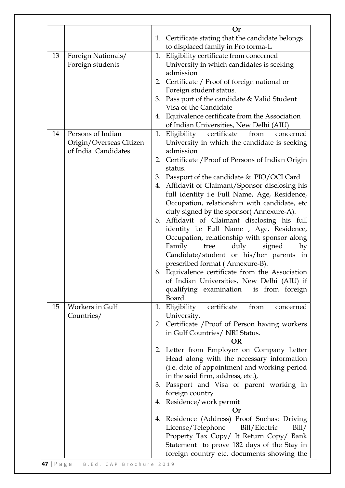|    |                         | <b>Or</b>                                                                               |
|----|-------------------------|-----------------------------------------------------------------------------------------|
|    |                         | 1. Certificate stating that the candidate belongs<br>to displaced family in Pro forma-L |
| 13 | Foreign Nationals/      | Eligibility certificate from concerned<br>1.                                            |
|    | Foreign students        | University in which candidates is seeking                                               |
|    |                         | admission                                                                               |
|    |                         | 2. Certificate / Proof of foreign national or                                           |
|    |                         | Foreign student status.                                                                 |
|    |                         | 3. Pass port of the candidate & Valid Student                                           |
|    |                         | Visa of the Candidate                                                                   |
|    |                         | 4. Equivalence certificate from the Association                                         |
|    |                         | of Indian Universities, New Delhi (AIU)                                                 |
| 14 | Persons of Indian       |                                                                                         |
|    |                         | 1. Eligibility<br>certificate<br>from<br>concerned                                      |
|    | Origin/Overseas Citizen | University in which the candidate is seeking                                            |
|    | of India Candidates     | admission                                                                               |
|    |                         | 2. Certificate / Proof of Persons of Indian Origin                                      |
|    |                         | status.                                                                                 |
|    |                         | 3. Passport of the candidate & PIO/OCI Card                                             |
|    |                         | 4. Affidavit of Claimant/Sponsor disclosing his                                         |
|    |                         | full identity i.e Full Name, Age, Residence,                                            |
|    |                         | Occupation, relationship with candidate, etc                                            |
|    |                         | duly signed by the sponsor(Annexure-A).                                                 |
|    |                         | 5. Affidavit of Claimant disclosing his full                                            |
|    |                         | identity i.e Full Name , Age, Residence,                                                |
|    |                         | Occupation, relationship with sponsor along                                             |
|    |                         | Family<br>tree<br>duly<br>signed<br>by                                                  |
|    |                         | Candidate/student or his/her parents in                                                 |
|    |                         | prescribed format (Annexure-B).                                                         |
|    |                         | 6. Equivalence certificate from the Association                                         |
|    |                         | of Indian Universities, New Delhi (AIU) if                                              |
|    |                         | qualifying examination is from foreign                                                  |
|    |                         | Board.                                                                                  |
| 15 | Workers in Gulf         | 1. Eligibility<br>certificate<br>from<br>concerned                                      |
|    | Countries/              | University.                                                                             |
|    |                         | 2. Certificate / Proof of Person having workers                                         |
|    |                         | in Gulf Countries/ NRI Status.                                                          |
|    |                         | OR                                                                                      |
|    |                         | 2. Letter from Employer on Company Letter                                               |
|    |                         | Head along with the necessary information                                               |
|    |                         | (i.e. date of appointment and working period                                            |
|    |                         | in the said firm, address, etc.),                                                       |
|    |                         | 3. Passport and Visa of parent working in                                               |
|    |                         | foreign country                                                                         |
|    |                         | 4. Residence/work permit                                                                |
|    |                         | Оr                                                                                      |
|    |                         | 4. Residence (Address) Proof Suchas: Driving                                            |
|    |                         | License/Telephone<br>Bill/Electric<br>Bill/                                             |
|    |                         |                                                                                         |
|    |                         | Property Tax Copy/ It Return Copy/ Bank                                                 |
|    |                         | Statement to prove 182 days of the Stay in                                              |
|    |                         | foreign country etc. documents showing the                                              |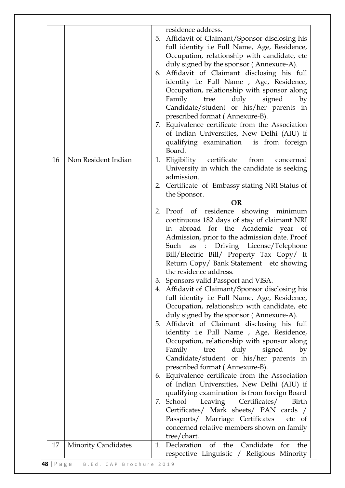|    |                            |    | residence address.<br>5. Affidavit of Claimant/Sponsor disclosing his<br>full identity i.e Full Name, Age, Residence,<br>Occupation, relationship with candidate, etc<br>duly signed by the sponsor (Annexure-A).<br>6. Affidavit of Claimant disclosing his full<br>identity i.e Full Name, Age, Residence,<br>Occupation, relationship with sponsor along<br>Family<br>duly<br>signed<br>by<br>tree<br>Candidate/student or his/her parents in<br>prescribed format (Annexure-B).<br>7. Equivalence certificate from the Association<br>of Indian Universities, New Delhi (AIU) if<br>qualifying examination is from foreign<br>Board. |
|----|----------------------------|----|------------------------------------------------------------------------------------------------------------------------------------------------------------------------------------------------------------------------------------------------------------------------------------------------------------------------------------------------------------------------------------------------------------------------------------------------------------------------------------------------------------------------------------------------------------------------------------------------------------------------------------------|
| 16 | Non Resident Indian        | 1. | Eligibility certificate<br>from<br>concerned<br>University in which the candidate is seeking<br>admission.<br>2. Certificate of Embassy stating NRI Status of                                                                                                                                                                                                                                                                                                                                                                                                                                                                            |
|    |                            |    | the Sponsor.                                                                                                                                                                                                                                                                                                                                                                                                                                                                                                                                                                                                                             |
|    |                            |    | <b>OR</b><br>2. Proof of residence showing minimum<br>continuous 182 days of stay of claimant NRI<br>abroad for the Academic year of<br>in                                                                                                                                                                                                                                                                                                                                                                                                                                                                                               |
|    |                            |    | Admission, prior to the admission date. Proof<br>Such as : Driving License/Telephone<br>Bill/Electric Bill/ Property Tax Copy/ It<br>Return Copy/ Bank Statement etc showing<br>the residence address.                                                                                                                                                                                                                                                                                                                                                                                                                                   |
|    |                            |    | 3. Sponsors valid Passport and VISA.<br>4. Affidavit of Claimant/Sponsor disclosing his<br>full identity i.e Full Name, Age, Residence,<br>Occupation, relationship with candidate, etc<br>duly signed by the sponsor (Annexure-A).                                                                                                                                                                                                                                                                                                                                                                                                      |
|    |                            |    | 5. Affidavit of Claimant disclosing his full<br>identity i.e Full Name, Age, Residence,<br>Occupation, relationship with sponsor along<br>Family<br>duly<br>signed<br>tree<br>by<br>Candidate/student or his/her parents in                                                                                                                                                                                                                                                                                                                                                                                                              |
|    |                            | 6. | prescribed format (Annexure-B).<br>Equivalence certificate from the Association<br>of Indian Universities, New Delhi (AIU) if                                                                                                                                                                                                                                                                                                                                                                                                                                                                                                            |
|    |                            |    | qualifying examination is from foreign Board<br>7. School<br>Leaving<br>Certificates/<br>Birth<br>Certificates/ Mark sheets/ PAN cards /<br>Passports/ Marriage Certificates<br>etc of<br>concerned relative members shown on family<br>tree/chart.                                                                                                                                                                                                                                                                                                                                                                                      |
| 17 | <b>Minority Candidates</b> | 1. | Candidate<br>the<br>Declaration<br>of the<br>for                                                                                                                                                                                                                                                                                                                                                                                                                                                                                                                                                                                         |
|    |                            |    | respective Linguistic / Religious Minority                                                                                                                                                                                                                                                                                                                                                                                                                                                                                                                                                                                               |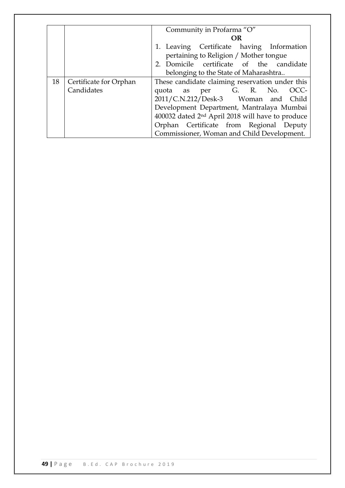|    |                                      | Community in Profarma "O"<br>OR<br>1. Leaving Certificate having Information<br>pertaining to Religion / Mother tongue                                                                                                                                                                                                         |  |  |  |  |  |  |
|----|--------------------------------------|--------------------------------------------------------------------------------------------------------------------------------------------------------------------------------------------------------------------------------------------------------------------------------------------------------------------------------|--|--|--|--|--|--|
|    |                                      | 2. Domicile certificate of the candidate<br>belonging to the State of Maharashtra                                                                                                                                                                                                                                              |  |  |  |  |  |  |
| 18 | Certificate for Orphan<br>Candidates | These candidate claiming reservation under this<br>quota as per G. R. No.<br>OCC-<br>2011/C.N.212/Desk-3 Woman and Child<br>Development Department, Mantralaya Mumbai<br>400032 dated 2 <sup>nd</sup> April 2018 will have to produce<br>Orphan Certificate from Regional Deputy<br>Commissioner, Woman and Child Development. |  |  |  |  |  |  |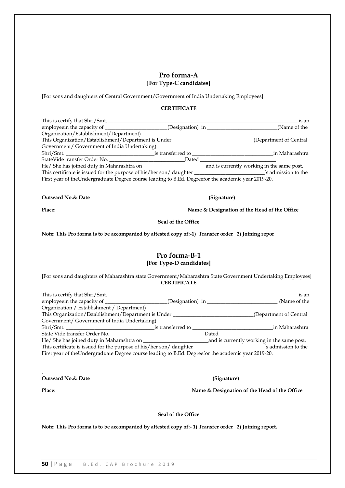### **Pro forma-A [For Type-C candidates]**

[For sons and daughters of Central Government/Government of India Undertaking Employees]

#### **CERTIFICATE**

|                                                                                | is an                                                                                                |  |  |  |  |  |  |
|--------------------------------------------------------------------------------|------------------------------------------------------------------------------------------------------|--|--|--|--|--|--|
|                                                                                | employeein the capacity of _______________________(Designation) in ______________<br>(Name of the    |  |  |  |  |  |  |
|                                                                                |                                                                                                      |  |  |  |  |  |  |
| This Organization/Establishment/Department is Under<br>(Department of Central) |                                                                                                      |  |  |  |  |  |  |
|                                                                                |                                                                                                      |  |  |  |  |  |  |
|                                                                                | in Maharashtra                                                                                       |  |  |  |  |  |  |
| StateVide transfer Order No.<br>Dated                                          |                                                                                                      |  |  |  |  |  |  |
| He/ She has joined duty in Maharashtra on                                      | and is currently working in the same post.                                                           |  |  |  |  |  |  |
|                                                                                |                                                                                                      |  |  |  |  |  |  |
|                                                                                | First year of the Undergraduate Degree course leading to B.Ed. Degree for the academic year 2019-20. |  |  |  |  |  |  |
|                                                                                |                                                                                                      |  |  |  |  |  |  |

**Outward No.& Date (Signature)**

**Place: Name & Designation of the Head of the Office**

**Seal of the Office**

**Note: This Pro forma is to be accompanied by attested copy of:-1) Transfer order 2) Joining repor**

#### **Pro forma-B-1 [For Type-D candidates]**

[For sons and daughters of Maharashtra state Government/Maharashtra State Government Undertaking Employees] **CERTIFICATE**

| This is certify that Shri/Smt.                                                                      |       | is an                   |
|-----------------------------------------------------------------------------------------------------|-------|-------------------------|
|                                                                                                     |       | (Name of the            |
| Organization / Establishment / Department)                                                          |       |                         |
| This Organization/Establishment/Department is Under                                                 |       | (Department of Central) |
| Government/ Government of India Undertaking)                                                        |       |                         |
|                                                                                                     |       | in Maharashtra          |
| State Vide transfer Order No.                                                                       | Dated |                         |
|                                                                                                     |       |                         |
|                                                                                                     |       |                         |
| First year of the Undergraduate Degree course leading to B.Ed. Degreefor the academic year 2019-20. |       |                         |

**Outward No.& Date (Signature)**

**Place: Name & Designation of the Head of the Office**

.

**Seal of the Office**

**Note: This Pro forma is to be accompanied by attested copy of:- 1) Transfer order 2) Joining report.**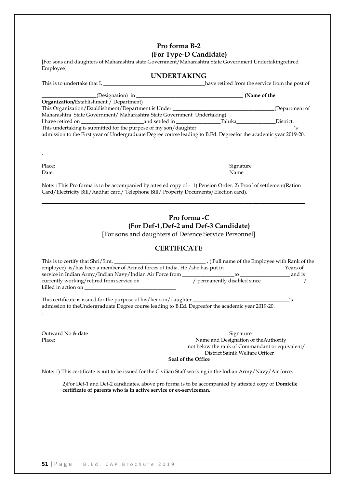# **Pro forma B-2 (For Type-D Candidate)**

[For sons and daughters of Maharashtra state Government/Maharashtra State Government Undertakingretired Employee]

#### **UNDERTAKING**

| This is to undertake that I,                                                                                     | have retired from the service from the post of |
|------------------------------------------------------------------------------------------------------------------|------------------------------------------------|
| (Designation) in                                                                                                 | (Name of the                                   |
| <b>Organization/Establishment / Department)</b>                                                                  |                                                |
| This Organization/Establishment/Department is Under                                                              | (Department of                                 |
| Maharashtra State Government/ Maharashtra State Government Undertaking).                                         |                                                |
| I have retired on the contract and settled in the contract of Taluka                                             | District.                                      |
|                                                                                                                  |                                                |
| admission to the First year of Undergraduate Degree course leading to B.Ed. Degreefor the academic year 2019-20. |                                                |

.

Place: Signature Date: Name

Note: : This Pro forma is to be accompanied by attested copy of:- 1) Pension Order. 2) Proof of settlement(Ration Card/Electricity Bill/Aadhar card/ Telephone Bill/ Property Documents/Election card).

**\_\_\_\_\_\_\_\_\_\_\_\_\_\_\_\_\_\_\_\_\_\_\_\_\_\_\_\_\_\_\_\_\_\_\_\_\_\_\_\_\_\_\_\_\_\_\_\_\_\_\_\_\_\_\_\_\_\_\_\_\_\_\_\_\_**

# **Pro forma -C (For Def-1,Def-2 and Def-3 Candidate)**

[For sons and daughters of Defence Service Personnel]

# **CERTIFICATE**

| This is to certify that Shri/Smt.                                           | , (Full name of the Employee with Rank of the |          |
|-----------------------------------------------------------------------------|-----------------------------------------------|----------|
| employee) is/has been a member of Armed forces of India. He /she has put in |                                               | Years of |
| service in Indian Army/Indian Navy/Indian Air Force from                    |                                               | and is   |
| currently working/retired from service on                                   | permanently disabled since                    |          |
| killed in action on                                                         |                                               |          |
|                                                                             |                                               |          |

This certificate is issued for the purpose of his/her son/daughter \_\_\_\_\_\_\_\_\_\_\_\_\_\_\_\_\_\_\_\_\_\_\_\_\_\_\_\_\_\_\_\_\_\_\_\_\_'s admission to theUndergraduate Degree course leading to B.Ed. Degreefor the academic year 2019-20.

.

Outward No. & date Signature Signature Signature Signature Signature Signature Signature Signature Signature Signature Signature Signature Signature Signature Signature Signature Signature Signature Signature Signature Sig Place: Name and Designation of theAuthority not below the rank of Commandant or equivalent/ District Sainik Welfare Officer

**Seal of the Office**

Note: 1) This certificate is **not** to be issued for the Civilian Staff working in the Indian Army/Navy/Air force.

2)For Def-1 and Def-2 candidates, above pro forma is to be accompanied by attested copy of **Domicile certificate of parents who is in active service or ex-serviceman.**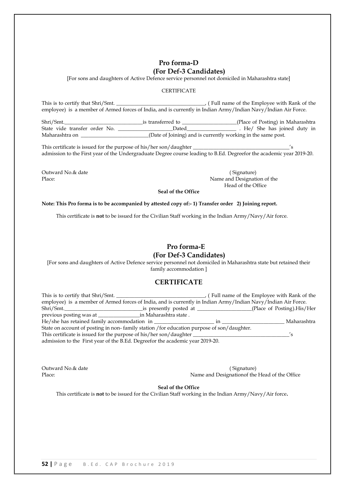# **Pro forma-D (For Def-3 Candidates)**

[For sons and daughters of Active Defence service personnel not domiciled in Maharashtra state]

#### **CERTIFICATE**

This is to certify that Shri/Smt. \_\_\_\_\_\_\_\_\_\_\_\_\_\_\_\_\_\_\_\_\_\_\_\_\_\_\_\_\_\_\_\_\_\_, ( Full name of the Employee with Rank of the employee) is a member of Armed forces of India, and is currently in Indian Army/Indian Navy/Indian Air Force.

Shri/Smt.\_\_\_\_\_\_\_\_\_\_\_\_\_\_\_\_\_\_\_\_\_\_\_\_\_\_\_\_\_\_is transferred to \_\_\_\_\_\_\_\_\_\_\_\_\_\_\_\_\_\_\_\_\_(Place of Posting) in Maharashtra State vide transfer order No. \_\_\_\_\_\_\_\_\_\_\_\_\_\_\_\_\_\_\_\_\_\_Dated\_\_\_\_\_\_\_\_\_\_\_\_\_\_\_\_\_\_\_\_\_\_\_. He/ She has joined duty in Maharashtra on \_\_\_\_\_\_\_\_\_\_\_\_\_\_\_\_\_\_\_\_\_\_\_\_\_\_(Date of Joining) and is currently working in the same post.

This certificate is issued for the purpose of his/her son/daughter \_\_\_\_\_\_\_\_\_\_\_\_\_\_\_\_\_\_\_\_\_\_\_\_\_\_\_\_\_\_\_\_\_\_\_\_\_'s admission to the First year of the Undergraduate Degree course leading to B.Ed. Degreefor the academic year 2019-20.

Outward No. & date ( Signature) ( Signature) ( Signature ( Signature )

Place: Name and Designation of the Name and Designation of the Name and Designation of the Name and Designation of the Name and Designation of the Name and Designation of the Name and Designation of the Name and Designatio Head of the Office

**Seal of the Office**

#### **Note: This Pro forma is to be accompanied by attested copy of:- 1) Transfer order 2) Joining report.**

This certificate is **not** to be issued for the Civilian Staff working in the Indian Army/Navy/Air force.

# **Pro forma-E (For Def-3 Candidates)**

[For sons and daughters of Active Defence service personnel not domiciled in Maharashtra state but retained their family accommodation ]

#### **CERTIFICATE**

| This is to certify that Shri/Smt.                                                                                                                                                                                                   |    | (Full name of the Employee with Rank of the |
|-------------------------------------------------------------------------------------------------------------------------------------------------------------------------------------------------------------------------------------|----|---------------------------------------------|
| employee) is a member of Armed forces of India, and is currently in Indian Army/Indian Navy/Indian Air Force.                                                                                                                       |    |                                             |
| Shri/Smt. is presently posted at <u>services</u> is the state of the state of the state of the state of the state of the state of the state of the state of the state of the state of the state of the state of the state of the st |    | (Place of Posting).His/Her                  |
|                                                                                                                                                                                                                                     |    |                                             |
|                                                                                                                                                                                                                                     | 1n | Maharashtra                                 |
| State on account of posting in non-family station / for education purpose of son/daughter.                                                                                                                                          |    |                                             |
| This certificate is issued for the purpose of his/her son/daughter _______                                                                                                                                                          |    |                                             |
| admission to the First year of the B.Ed. Degreefor the academic year 2019-20.                                                                                                                                                       |    |                                             |

Outward No.& date (Signature) Place: Name and Designation of the Head of the Office

**Seal of the Office**

This certificate is **not** to be issued for the Civilian Staff working in the Indian Army/Navy/Air force**.**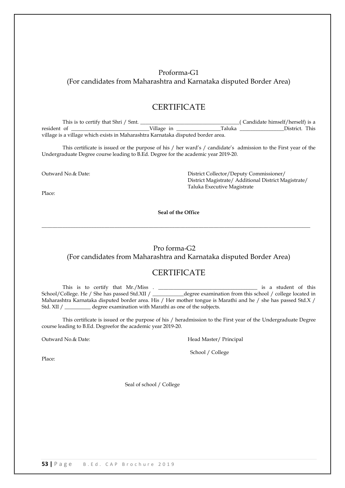# Proforma-G1 (For candidates from Maharashtra and Karnataka disputed Border Area)

# **CERTIFICATE**

This is to certify that Shri / Smt. \_\_\_\_\_\_\_\_\_\_\_\_\_\_\_\_\_\_\_\_\_\_\_\_\_\_\_\_\_\_\_\_\_\_\_\_\_\_( Candidate himself/herself) is a resident of \_\_\_\_\_\_\_\_\_\_\_\_\_\_\_\_\_\_\_\_\_\_\_\_\_\_\_\_\_\_Village in \_\_\_\_\_\_\_\_\_\_\_\_\_\_\_\_\_Taluka \_\_\_\_\_\_\_\_\_\_\_\_\_\_\_\_\_District. This village is a village which exists in Maharashtra Karnataka disputed border area.

This certificate is issued or the purpose of his / her ward's / candidate's admission to the First year of the Undergraduate Degree course leading to B.Ed. Degree for the academic year 2019-20.

Place:

Outward No.& Date: District Collector/Deputy Commissioner/ District Magistrate/ Additional District Magistrate/ Taluka Executive Magistrate

**Seal of the Office**

 $\_$  , and the set of the set of the set of the set of the set of the set of the set of the set of the set of the set of the set of the set of the set of the set of the set of the set of the set of the set of the set of th

#### Pro forma-G2

#### (For candidates from Maharashtra and Karnataka disputed Border Area)

# **CERTIFICATE**

This is to certify that Mr./Miss . \_\_\_\_\_\_\_\_\_\_\_\_\_\_\_\_\_\_\_\_\_\_\_\_\_\_\_\_\_\_\_\_\_\_\_\_\_\_ is a student of this School/College. He / She has passed Std.XII / \_\_\_\_\_\_\_\_\_\_\_\_degree examination from this school / college located in Maharashtra Karnataka disputed border area. His / Her mother tongue is Marathi and he / she has passed Std.X / Std. XII / \_\_\_\_\_\_\_\_\_\_ degree examination with Marathi as one of the subjects.

This certificate is issued or the purpose of his / heradmission to the First year of the Undergraduate Degree course leading to B.Ed. Degreefor the academic year 2019-20.

Outward No.& Date: The Controllering of the Head Master/ Principal

School / College

Place:

Seal of school / College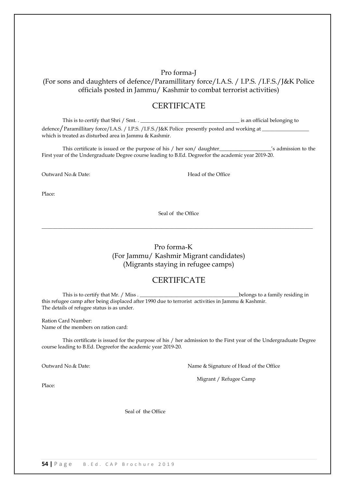Pro forma-J (For sons and daughters of defence/Paramillitary force/I.A.S. / I.P.S. /I.F.S./J&K Police officials posted in Jammu/ Kashmir to combat terrorist activities)

# **CERTIFICATE**

This is to certify that Shri / Smt. . \_\_\_\_\_\_\_\_\_\_\_\_\_\_\_\_\_\_\_\_\_\_\_\_\_\_\_\_\_\_\_\_\_\_\_\_\_\_ is an official belonging to defence/Paramillitary force/I.A.S. / I.P.S. /I.F.S./J&K Police presently posted and working at \_\_\_\_\_\_\_\_\_\_\_\_\_\_\_\_\_\_ which is treated as disturbed area in Jammu & Kashmir.

This certificate is issued or the purpose of his / her son/ daughter\_\_\_\_\_\_\_\_\_\_\_\_\_\_\_\_\_\_\_\_'s admission to the First year of the Undergraduate Degree course leading to B.Ed. Degreefor the academic year 2019-20.

Outward No. & Date: The Context of the Office Read of the Office

Place:

Seal of the Office

 $\_$  , and the set of the set of the set of the set of the set of the set of the set of the set of the set of the set of the set of the set of the set of the set of the set of the set of the set of the set of the set of th

Pro forma-K (For Jammu/ Kashmir Migrant candidates) (Migrants staying in refugee camps)

# **CERTIFICATE**

This is to certify that Mr. / Miss . \_\_\_\_\_\_\_\_\_\_\_\_\_\_\_\_\_\_\_\_\_\_\_\_\_\_\_\_\_\_\_\_\_\_\_\_\_\_belongs to a family residing in this refugee camp after being displaced after 1990 due to terrorist activities in Jammu & Kashmir. The details of refugee status is as under.

Ration Card Number: Name of the members on ration card:

This certificate is issued for the purpose of his / her admission to the First year of the Undergraduate Degree course leading to B.Ed. Degreefor the academic year 2019-20.

Outward No.& Date: Name & Signature of Head of the Office

Migrant / Refugee Camp

Place:

Seal of the Office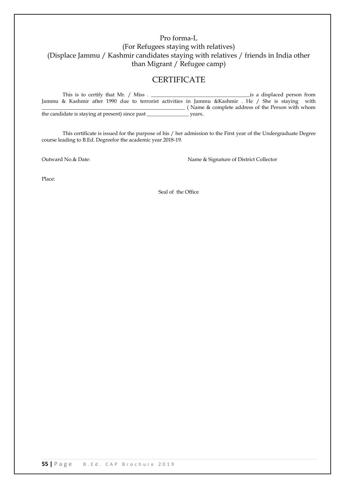# Pro forma-L (For Refugees staying with relatives) (Displace Jammu / Kashmir candidates staying with relatives / friends in India other than Migrant / Refugee camp)

# **CERTIFICATE**

| This is to certify that Mr. / Miss.             |  |  |  |        |                                                                                                     |  | is a displaced person from |  |
|-------------------------------------------------|--|--|--|--------|-----------------------------------------------------------------------------------------------------|--|----------------------------|--|
|                                                 |  |  |  |        | Jammu & Kashmir after 1990 due to terrorist activities in Jammu & Kashmir. He / She is staying with |  |                            |  |
|                                                 |  |  |  |        | (Name & complete address of the Person with whom                                                    |  |                            |  |
| the candidate is staying at present) since past |  |  |  | vears. |                                                                                                     |  |                            |  |

This certificate is issued for the purpose of his / her admission to the First year of the Undergraduate Degree course leading to B.Ed. Degreefor the academic year 2018-19.

Outward No.& Date:  $\blacksquare$  Name & Signature of District Collector

Place:

Seal of the Office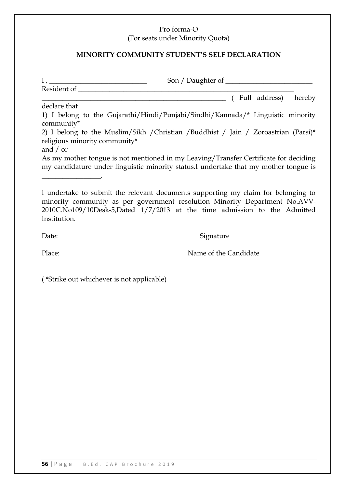# Pro forma-O

(For seats under Minority Quota)

# **MINORITY COMMUNITY STUDENT'S SELF DECLARATION**

|                                           | (Full address) hereby                                                                                                                                                                                                                         |
|-------------------------------------------|-----------------------------------------------------------------------------------------------------------------------------------------------------------------------------------------------------------------------------------------------|
| declare that                              |                                                                                                                                                                                                                                               |
| community*                                | 1) I belong to the Gujarathi/Hindi/Punjabi/Sindhi/Kannada/* Linguistic minority                                                                                                                                                               |
|                                           | 2) I belong to the Muslim/Sikh / Christian / Buddhist / Jain / Zoroastrian (Parsi)*                                                                                                                                                           |
| religious minority community*             |                                                                                                                                                                                                                                               |
| and $/$ or                                |                                                                                                                                                                                                                                               |
|                                           | As my mother tongue is not mentioned in my Leaving/Transfer Certificate for deciding                                                                                                                                                          |
|                                           | my candidature under linguistic minority status.I undertake that my mother tongue is                                                                                                                                                          |
|                                           |                                                                                                                                                                                                                                               |
|                                           |                                                                                                                                                                                                                                               |
| Institution.                              | I undertake to submit the relevant documents supporting my claim for belonging to<br>minority community as per government resolution Minority Department No.AVV-<br>2010C.No109/10Desk-5,Dated 1/7/2013 at the time admission to the Admitted |
| Date:                                     | Signature                                                                                                                                                                                                                                     |
| Place:                                    | Name of the Candidate                                                                                                                                                                                                                         |
| (*Strike out whichever is not applicable) |                                                                                                                                                                                                                                               |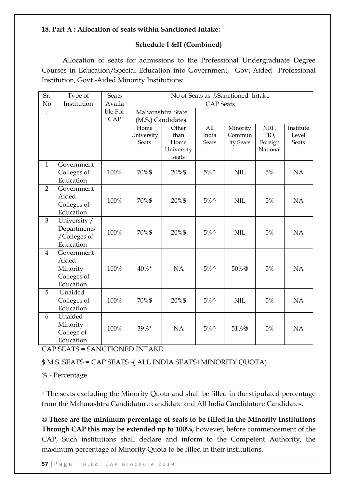# **18. Part A : Allocation of seats within Sanctioned Intake:**

# **Schedule I &II (Combined)**

Allocation of seats for admissions to the Professional Undergraduate Degree Courses in Education/Special Education into Government, Govt-Aided Professional Institution, Govt.-Aided Minority Institutions:

| Sr.            | Type of                     | <b>Seats</b> | No of Seats as %Sanctioned Intake |                    |                |            |          |              |  |
|----------------|-----------------------------|--------------|-----------------------------------|--------------------|----------------|------------|----------|--------------|--|
| No             | Institution                 | Availa       | <b>CAP</b> Seats                  |                    |                |            |          |              |  |
|                |                             | ble For      |                                   | Maharashtra State  |                |            |          |              |  |
|                |                             | CAP          |                                   | (M.S.) Candidates. |                |            |          |              |  |
|                |                             |              | Home                              | Other              | All            | Minority   | NRI,     | Institute    |  |
|                |                             |              | University                        | than               | India          | Commun     | PIO,     | Level        |  |
|                |                             |              | <b>Seats</b>                      | Home               | <b>Seats</b>   | ity Seats  | Foreign  | <b>Seats</b> |  |
|                |                             |              |                                   | University         |                |            | National |              |  |
| $\mathbf{1}$   | Government                  |              |                                   | seats              |                |            |          |              |  |
|                |                             | 100%         | 70%\$                             | 20%\$              | $5\%$          | <b>NIL</b> | $5%$     | NA           |  |
|                | Colleges of<br>Education    |              |                                   |                    |                |            |          |              |  |
| $\overline{2}$ | Government                  |              |                                   |                    |                |            |          |              |  |
|                | Aided                       |              |                                   |                    |                |            |          |              |  |
|                | Colleges of                 | 100%         | 70%\$                             | 20%\$              | $5\%^{\wedge}$ | <b>NIL</b> | 5%       | <b>NA</b>    |  |
|                | Education                   |              |                                   |                    |                |            |          |              |  |
| $\overline{3}$ |                             |              |                                   |                    |                |            |          |              |  |
|                | University /                |              |                                   |                    |                |            |          |              |  |
|                | Departments<br>/Colleges of | 100%         | 70%\$                             | 20%\$              | $5\%^{\wedge}$ | <b>NIL</b> | 5%       | <b>NA</b>    |  |
|                | Education                   |              |                                   |                    |                |            |          |              |  |
| $\overline{4}$ | Government                  |              |                                   |                    |                |            |          |              |  |
|                | Aided                       |              |                                   |                    |                |            |          |              |  |
|                | Minority                    | 100%         | 40%*                              | NA                 | $5\%^{\wedge}$ | 50%@       | 5%       | <b>NA</b>    |  |
|                | Colleges of                 |              |                                   |                    |                |            |          |              |  |
|                | Education                   |              |                                   |                    |                |            |          |              |  |
| 5              | Unaided                     |              |                                   |                    |                |            |          |              |  |
|                | Colleges of                 | 100%         | 70%\$                             | 20%\$              | $5\%$          | <b>NIL</b> | 5%       | NA           |  |
|                | Education                   |              |                                   |                    |                |            |          |              |  |
| 6              | Unaided                     |              |                                   |                    |                |            |          |              |  |
|                | Minority                    |              |                                   |                    |                |            |          |              |  |
|                | College of                  | 100%         | 39%*                              | NA                 | $5\%$          | 51%@       | 5%       | <b>NA</b>    |  |
|                | Education                   |              |                                   |                    |                |            |          |              |  |
|                |                             |              |                                   |                    |                |            |          |              |  |

CAP SEATS = SANCTIONED INTAKE.

\$ M.S. SEATS = CAP SEATS -( ALL INDIA SEATS+MINORITY QUOTA)

% - Percentage

\* The seats excluding the Minority Quota and shall be filled in the stipulated percentage from the Maharashtra Candidature candidate and All India Candidature Candidates.

@ **These are the minimum percentage of seats to be filled in the Minority Institutions Through CAP this may be extended up to 100%,** however, before commencement of the CAP, Such institutions shall declare and inform to the Competent Authority, the maximum percentage of Minority Quota to be filled in their institutions.

**57 |** P a g e B . E d . C A P B r o c h u r e 2 0 1 9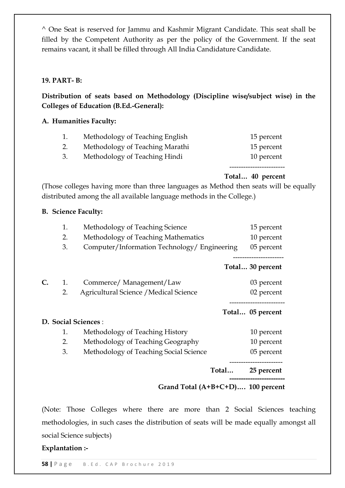^ One Seat is reserved for Jammu and Kashmir Migrant Candidate. This seat shall be filled by the Competent Authority as per the policy of the Government. If the seat remains vacant, it shall be filled through All India Candidature Candidate.

# **19. PART- B:**

**Distribution of seats based on Methodology (Discipline wise/subject wise) in the Colleges of Education (B.Ed.-General):**

# **A. Humanities Faculty:**

|    | Methodology of Teaching English | 15 percent |
|----|---------------------------------|------------|
| 2. | Methodology of Teaching Marathi | 15 percent |
| 3. | Methodology of Teaching Hindi   | 10 percent |
|    |                                 |            |

# **Total… 40 percent**

(Those colleges having more than three languages as Method then seats will be equally distributed among the all available language methods in the College.)

# **B. Science Faculty:**

|    | 1. | Methodology of Teaching Science              |       | 15 percent                         |
|----|----|----------------------------------------------|-------|------------------------------------|
|    | 2. | Methodology of Teaching Mathematics          |       | 10 percent                         |
|    | 3. | Computer/Information Technology/ Engineering |       | 05 percent                         |
|    |    |                                              |       | Total 30 percent                   |
| C. | 1. | Commerce/Management/Law                      |       | 03 percent                         |
|    | 2. | Agricultural Science / Medical Science       |       | 02 percent                         |
|    |    |                                              |       | Total 05 percent                   |
|    |    | <b>D. Social Sciences :</b>                  |       |                                    |
|    | 1. | Methodology of Teaching History              |       | 10 percent                         |
|    | 2. | Methodology of Teaching Geography            |       | 10 percent                         |
|    | 3. | Methodology of Teaching Social Science       |       | 05 percent                         |
|    |    |                                              | Total | ____________________<br>25 percent |
|    |    | Grand Total (A+B+C+D) 100 percent            |       |                                    |

(Note: Those Colleges where there are more than 2 Social Sciences teaching methodologies, in such cases the distribution of seats will be made equally amongst all social Science subjects)

**Explantation :-**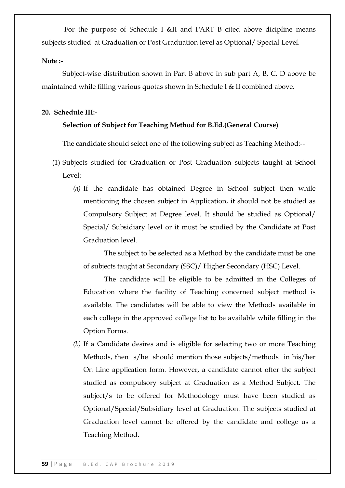For the purpose of Schedule I &II and PART B cited above dicipline means subjects studied at Graduation or Post Graduation level as Optional/ Special Level.

# **Note :-**

Subject-wise distribution shown in Part B above in sub part A, B, C. D above be maintained while filling various quotas shown in Schedule I & II combined above.

# **20. Schedule III:-**

# **Selection of Subject for Teaching Method for B.Ed.(General Course)**

The candidate should select one of the following subject as Teaching Method:--

- (1) Subjects studied for Graduation or Post Graduation subjects taught at School Level:-
	- *(a)* If the candidate has obtained Degree in School subject then while mentioning the chosen subject in Application, it should not be studied as Compulsory Subject at Degree level. It should be studied as Optional/ Special/ Subsidiary level or it must be studied by the Candidate at Post Graduation level.

The subject to be selected as a Method by the candidate must be one of subjects taught at Secondary (SSC)/ Higher Secondary (HSC) Level.

The candidate will be eligible to be admitted in the Colleges of Education where the facility of Teaching concerned subject method is available. The candidates will be able to view the Methods available in each college in the approved college list to be available while filling in the Option Forms.

*(b)* If a Candidate desires and is eligible for selecting two or more Teaching Methods, then s/he should mention those subjects/methods in his/her On Line application form. However, a candidate cannot offer the subject studied as compulsory subject at Graduation as a Method Subject. The subject/s to be offered for Methodology must have been studied as Optional/Special/Subsidiary level at Graduation. The subjects studied at Graduation level cannot be offered by the candidate and college as a Teaching Method.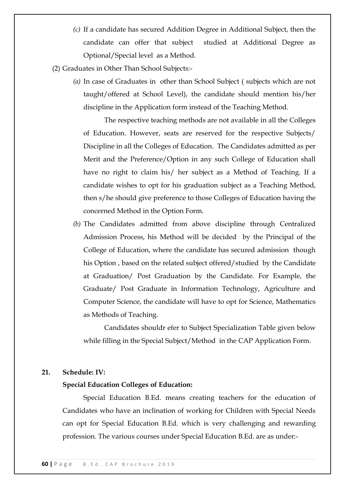- *(c)* If a candidate has secured Addition Degree in Additional Subject, then the candidate can offer that subject studied at Additional Degree as Optional/Special level as a Method.
- (2) Graduates in Other Than School Subjects:-
	- *(a)* In case of Graduates in other than School Subject ( subjects which are not taught/offered at School Level), the candidate should mention his/her discipline in the Application form instead of the Teaching Method.

The respective teaching methods are not available in all the Colleges of Education. However, seats are reserved for the respective Subjects/ Discipline in all the Colleges of Education. The Candidates admitted as per Merit and the Preference/Option in any such College of Education shall have no right to claim his/ her subject as a Method of Teaching. If a candidate wishes to opt for his graduation subject as a Teaching Method, then s/he should give preference to those Colleges of Education having the concerned Method in the Option Form.

*(b)* The Candidates admitted from above discipline through Centralized Admission Process, his Method will be decided by the Principal of the College of Education, where the candidate has secured admission though his Option , based on the related subject offered/studied by the Candidate at Graduation/ Post Graduation by the Candidate. For Example, the Graduate/ Post Graduate in Information Technology, Agriculture and Computer Science, the candidate will have to opt for Science, Mathematics as Methods of Teaching.

Candidates shouldr efer to Subject Specialization Table given below while filling in the Special Subject/Method in the CAP Application Form.

#### **21. Schedule: IV:**

### **Special Education Colleges of Education:**

Special Education B.Ed. means creating teachers for the education of Candidates who have an inclination of working for Children with Special Needs can opt for Special Education B.Ed. which is very challenging and rewarding profession. The various courses under Special Education B.Ed. are as under:-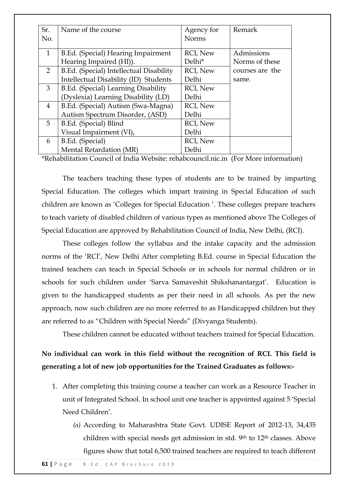| Sr.            | Name of the course                      | Agency for      | Remark          |
|----------------|-----------------------------------------|-----------------|-----------------|
| No.            |                                         | <b>Norms</b>    |                 |
| $\mathbf{1}$   | B.Ed. (Special) Hearing Impairment      | RCI, New        | Admissions      |
|                | Hearing Impaired (HI)).                 | Delhi*          | Norms of these  |
| $\overline{2}$ | B.Ed. (Special) Intellectual Disability | <b>RCI, New</b> | courses are the |
|                | Intellectual Disability (ID) Students   | Delhi           | same.           |
| 3              | B.Ed. (Special) Learning Disability     | <b>RCI, New</b> |                 |
|                | (Dyslexia) Learning Disability (LD)     | Delhi           |                 |
| $\overline{4}$ | B.Ed. (Special) Autism (Swa-Magna)      | <b>RCI, New</b> |                 |
|                | Autism Spectrum Disorder, (ASD)         | Delhi           |                 |
| 5              | B.Ed. (Special) Blind                   | <b>RCI, New</b> |                 |
|                | Visual Impairment (VI),                 | Delhi           |                 |
| 6              | B.Ed. (Special)                         | RCI, New        |                 |
|                | Mental Retardation (MR)                 | Delhi           |                 |

[\\*Rehabilitation Council of India](http://rehabcouncil.nic.in/) Website: rehabcouncil.nic.in (For More information)

The teachers teaching these types of students are to be trained by imparting Special Education. The colleges which impart training in Special Education of such children are known as 'Colleges for Special Education'. These colleges prepare teachers to teach variety of disabled children of various types as mentioned above The Colleges of Special Education are approved by Rehabilitation Council of India, New Delhi, (RCI).

These colleges follow the syllabus and the intake capacity and the admission norms of the ‗RCI', New Delhi After completing B.Ed. course in Special Education the trained teachers can teach in Special Schools or in schools for normal children or in schools for such children under 'Sarva Samaveshit Shikshanantargat'. Education is given to the handicapped students as per their need in all schools. As per the new approach, now such children are no more referred to as Handicapped children but they are referred to as "Children with Special Needs" (Divyanga Students).

These children cannot be educated without teachers trained for Special Education.

**No individual can work in this field without the recognition of RCI. This field is generating a lot of new job opportunities for the Trained Graduates as follows:-**

- 1. After completing this training course a teacher can work as a Resource Teacher in unit of Integrated School. In school unit one teacher is appointed against 5 ‗Special Need Children'.
	- *(a)* According to Maharashtra State Govt. UDISE Report of 2012-13, 34,435 children with special needs get admission in std. 9<sup>th</sup> to 12<sup>th</sup> classes. Above figures show that total 6,500 trained teachers are required to teach different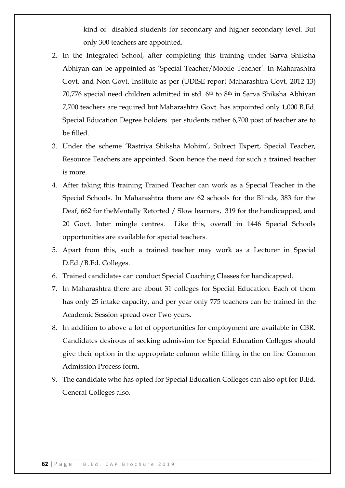kind of disabled students for secondary and higher secondary level. But only 300 teachers are appointed.

- 2. In the Integrated School, after completing this training under Sarva Shiksha Abhiyan can be appointed as 'Special Teacher/Mobile Teacher'. In Maharashtra Govt. and Non-Govt. Institute as per (UDISE report Maharashtra Govt. 2012-13) 70,776 special need children admitted in std.  $6<sup>th</sup>$  to  $8<sup>th</sup>$  in Sarva Shiksha Abhiyan 7,700 teachers are required but Maharashtra Govt. has appointed only 1,000 B.Ed. Special Education Degree holders per students rather 6,700 post of teacher are to be filled.
- 3. Under the scheme 'Rastriya Shiksha Mohim', Subject Expert, Special Teacher, Resource Teachers are appointed. Soon hence the need for such a trained teacher is more.
- 4. After taking this training Trained Teacher can work as a Special Teacher in the Special Schools. In Maharashtra there are 62 schools for the Blinds, 383 for the Deaf, 662 for theMentally Retorted / Slow learners, 319 for the handicapped, and 20 Govt. Inter mingle centres. Like this, overall in 1446 Special Schools opportunities are available for special teachers.
- 5. Apart from this, such a trained teacher may work as a Lecturer in Special D.Ed./B.Ed. Colleges.
- 6. Trained candidates can conduct Special Coaching Classes for handicapped.
- 7. In Maharashtra there are about 31 colleges for Special Education. Each of them has only 25 intake capacity, and per year only 775 teachers can be trained in the Academic Session spread over Two years.
- 8. In addition to above a lot of opportunities for employment are available in CBR. Candidates desirous of seeking admission for Special Education Colleges should give their option in the appropriate column while filling in the on line Common Admission Process form.
- 9. The candidate who has opted for Special Education Colleges can also opt for B.Ed. General Colleges also.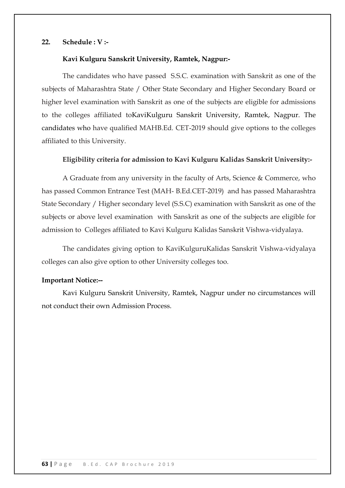# **22. Schedule : V :-**

#### **Kavi Kulguru Sanskrit University, Ramtek, Nagpur:-**

The candidates who have passed S.S.C. examination with Sanskrit as one of the subjects of Maharashtra State / Other State Secondary and Higher Secondary Board or higher level examination with Sanskrit as one of the subjects are eligible for admissions to the colleges affiliated toKaviKulguru Sanskrit University, Ramtek, Nagpur. The candidates who have qualified MAHB.Ed. CET-2019 should give options to the colleges affiliated to this University.

#### **Eligibility criteria for admission to Kavi Kulguru Kalidas Sanskrit University:-**

A Graduate from any university in the faculty of Arts, Science & Commerce, who has passed Common Entrance Test (MAH- B.Ed.CET-2019) and has passed Maharashtra State Secondary / Higher secondary level (S.S.C) examination with Sanskrit as one of the subjects or above level examination with Sanskrit as one of the subjects are eligible for admission to Colleges affiliated to Kavi Kulguru Kalidas Sanskrit Vishwa-vidyalaya.

The candidates giving option to KaviKulguruKalidas Sanskrit Vishwa-vidyalaya colleges can also give option to other University colleges too.

### **Important Notice:--**

Kavi Kulguru Sanskrit University, Ramtek, Nagpur under no circumstances will not conduct their own Admission Process.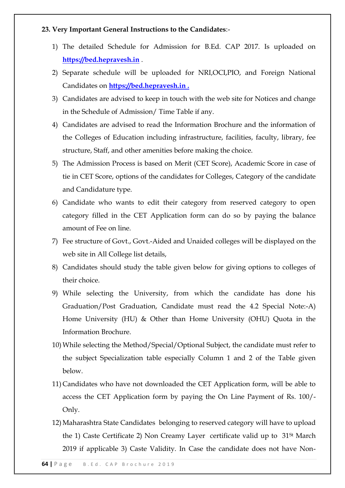# **23. Very Important General Instructions to the Candidates**:-

- 1) The detailed Schedule for Admission for B.Ed. CAP 2017. Is uploaded on **https://bed.hepravesh.in** .
- 2) Separate schedule will be uploaded for NRI,OCI,PIO, and Foreign National Candidates on **https://bed.hepravesh.in .**
- 3) Candidates are advised to keep in touch with the web site for Notices and change in the Schedule of Admission/ Time Table if any.
- 4) Candidates are advised to read the Information Brochure and the information of the Colleges of Education including infrastructure, facilities, faculty, library, fee structure, Staff, and other amenities before making the choice.
- 5) The Admission Process is based on Merit (CET Score), Academic Score in case of tie in CET Score, options of the candidates for Colleges, Category of the candidate and Candidature type.
- 6) Candidate who wants to edit their category from reserved category to open category filled in the CET Application form can do so by paying the balance amount of Fee on line.
- 7) Fee structure of Govt., Govt.-Aided and Unaided colleges will be displayed on the web site in All College list details,
- 8) Candidates should study the table given below for giving options to colleges of their choice.
- 9) While selecting the University, from which the candidate has done his Graduation/Post Graduation, Candidate must read the 4.2 Special Note:-A) Home University (HU) & Other than Home University (OHU) Quota in the Information Brochure.
- 10) While selecting the Method/Special/Optional Subject, the candidate must refer to the subject Specialization table especially Column 1 and 2 of the Table given below.
- 11) Candidates who have not downloaded the CET Application form, will be able to access the CET Application form by paying the On Line Payment of Rs. 100/- Only.
- 12) Maharashtra State Candidates belonging to reserved category will have to upload the 1) Caste Certificate 2) Non Creamy Layer certificate valid up to  $31<sup>st</sup>$  March 2019 if applicable 3) Caste Validity. In Case the candidate does not have Non-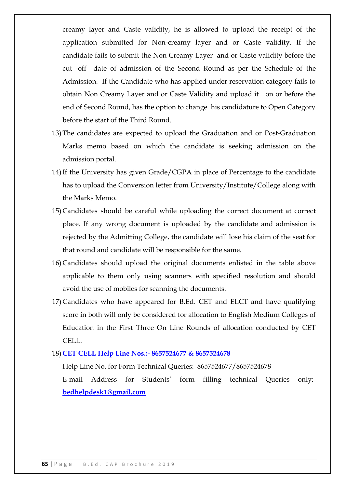creamy layer and Caste validity, he is allowed to upload the receipt of the application submitted for Non-creamy layer and or Caste validity. If the candidate fails to submit the Non Creamy Layer and or Caste validity before the cut -off date of admission of the Second Round as per the Schedule of the Admission. If the Candidate who has applied under reservation category fails to obtain Non Creamy Layer and or Caste Validity and upload it on or before the end of Second Round, has the option to change his candidature to Open Category before the start of the Third Round.

- 13) The candidates are expected to upload the Graduation and or Post-Graduation Marks memo based on which the candidate is seeking admission on the admission portal.
- 14)If the University has given Grade/CGPA in place of Percentage to the candidate has to upload the Conversion letter from University/Institute/College along with the Marks Memo.
- 15) Candidates should be careful while uploading the correct document at correct place. If any wrong document is uploaded by the candidate and admission is rejected by the Admitting College, the candidate will lose his claim of the seat for that round and candidate will be responsible for the same.
- 16) Candidates should upload the original documents enlisted in the table above applicable to them only using scanners with specified resolution and should avoid the use of mobiles for scanning the documents.
- 17) Candidates who have appeared for B.Ed. CET and ELCT and have qualifying score in both will only be considered for allocation to English Medium Colleges of Education in the First Three On Line Rounds of allocation conducted by CET CELL.

#### 18) **CET CELL Help Line Nos.:- 8657524677 & 8657524678**

Help Line No. for Form Technical Queries: 8657524677/8657524678

E-mail Address for Students' form filling technical Queries only: **bedhelpdesk1@gmail.com**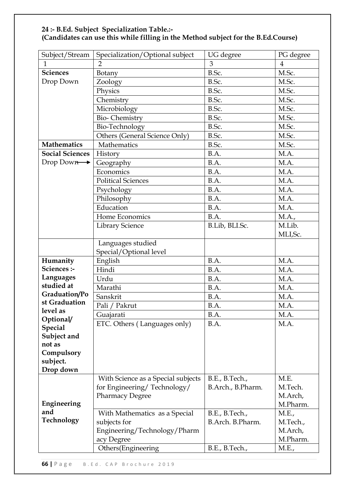| Subject/Stream                | Specialization/Optional subject    | UG degree         | PG degree      |
|-------------------------------|------------------------------------|-------------------|----------------|
| $\mathbf{1}$                  | $\overline{2}$                     | 3                 | $\overline{4}$ |
| <b>Sciences</b>               | Botany                             | B.Sc.             | M.Sc.          |
| Drop Down                     | Zoology                            | B.Sc.             | M.Sc.          |
|                               | Physics                            | B.Sc.             | M.Sc.          |
|                               | Chemistry                          | B.Sc.             | M.Sc.          |
|                               | Microbiology                       | B.Sc.             | M.Sc.          |
|                               | <b>Bio-Chemistry</b>               | B.Sc.             | M.Sc.          |
|                               | Bio-Technology                     | B.Sc.             | M.Sc.          |
| Others (General Science Only) |                                    | B.Sc.             | M.Sc.          |
| <b>Mathematics</b>            | Mathematics                        | B.Sc.             | M.Sc.          |
| <b>Social Sciences</b>        | History                            | B.A.              | M.A.           |
| Drop Down                     | Geography                          | B.A.              | M.A.           |
|                               | Economics                          | B.A.              | M.A.           |
|                               | <b>Political Sciences</b>          | B.A.              | M.A.           |
|                               | Psychology                         | B.A.              | M.A.           |
|                               | Philosophy                         | B.A.              | M.A.           |
|                               | Education                          | B.A.              | M.A.           |
|                               | Home Economics                     | B.A.              | M.A.,          |
|                               | <b>Library Science</b>             | B.Lib, BLI.Sc.    | M.Lib.         |
|                               |                                    |                   | MLI, Sc.       |
|                               | Languages studied                  |                   |                |
|                               | Special/Optional level             |                   |                |
| Humanity                      | English                            | B.A.              | M.A.           |
| Sciences :-                   | Hindi                              | B.A.              | M.A.           |
| Languages                     | Urdu                               | B.A.              | M.A.           |
| studied at                    | Marathi                            | B.A.              | M.A.           |
| Graduation/Po                 | Sanskrit                           | B.A.              | M.A.           |
| st Graduation                 | Pali / Pakrut                      | B.A.              | M.A.           |
| level as<br>Optional/         | Guajarati                          | B.A.              | M.A.           |
| <b>Special</b>                | ETC. Others (Languages only)       | B.A.              | M.A.           |
| Subject and                   |                                    |                   |                |
| not as                        |                                    |                   |                |
| Compulsory                    |                                    |                   |                |
| subject.                      |                                    |                   |                |
| Drop down                     |                                    |                   |                |
|                               | With Science as a Special subjects | B.E., B.Tech.,    | M.E.           |
|                               | for Engineering/Technology/        | B.Arch., B.Pharm. | M.Tech.        |
|                               | <b>Pharmacy Degree</b>             |                   | M.Arch,        |
| Engineering                   |                                    |                   | M.Pharm.       |
| and                           | With Mathematics as a Special      | B.E., B.Tech.,    | M.E.,          |
| <b>Technology</b>             | subjects for                       | B.Arch. B.Pharm.  | M.Tech.,       |
|                               | Engineering/Technology/Pharm       |                   | M.Arch,        |
|                               | acy Degree                         |                   | M.Pharm.       |
|                               | Others(Engineering                 | B.E., B.Tech.,    | M.E.,          |

# **24 :- B.Ed. Subject Specialization Table.:- (Candidates can use this while filling in the Method subject for the B.Ed.Course)**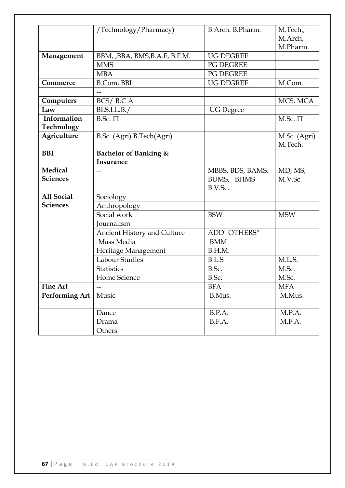|                       | /Technology/Pharmacy)              | B.Arch. B.Pharm. | M.Tech.,     |
|-----------------------|------------------------------------|------------------|--------------|
|                       |                                    |                  | M.Arch,      |
|                       |                                    |                  | M.Pharm.     |
| Management            | BBM, , BBA, BMS, B.A.F, B.F.M.     | <b>UG DEGREE</b> |              |
|                       | <b>MMS</b>                         | PG DEGREE        |              |
|                       | <b>MBA</b>                         | PG DEGREE        |              |
| Commerce              | B.Com, BBI                         | <b>UG DEGREE</b> | M.Com.       |
|                       | $-$                                |                  |              |
| Computers             | BCS/B.C.A                          |                  | MCS, MCA     |
| Law                   | BLS.LL.B./                         | <b>UG</b> Degree |              |
| Information           | B.Sc. IT                           |                  | M.Sc. IT     |
| Technology            |                                    |                  |              |
| Agriculture           | B.Sc. (Agri) B.Tech(Agri)          |                  | M.Sc. (Agri) |
|                       |                                    |                  | M.Tech.      |
| <b>BBI</b>            | <b>Bachelor of Banking &amp;</b>   |                  |              |
|                       | <b>Insurance</b>                   |                  |              |
| <b>Medical</b>        |                                    | MBBS, BDS, BAMS, | MD, MS,      |
| <b>Sciences</b>       |                                    | BUMS, BHMS       | M.V.Sc.      |
|                       |                                    | B.V.Sc.          |              |
| <b>All Social</b>     | Sociology                          |                  |              |
| <b>Sciences</b>       | Anthropology                       |                  |              |
|                       | Social work                        | <b>BSW</b>       | <b>MSW</b>   |
|                       | Journalism                         |                  |              |
|                       | <b>Ancient History and Culture</b> | ADD" OTHERS"     |              |
|                       | Mass Media                         | <b>BMM</b>       |              |
|                       | Heritage Management                | B.H.M.           |              |
|                       | <b>Labour Studies</b>              | B.L.S            | M.L.S.       |
|                       | <b>Statistics</b>                  | B.Sc.            | M.Sc.        |
|                       | Home Science                       | B.Sc.            | M.Sc.        |
| <b>Fine Art</b>       |                                    | <b>BFA</b>       | <b>MFA</b>   |
| <b>Performing Art</b> | Music                              | B.Mus.           | M.Mus.       |
|                       |                                    |                  |              |
|                       | Dance                              | B.P.A.           | M.P.A.       |
|                       | Drama                              | B.F.A.           | M.F.A.       |
|                       | Others                             |                  |              |
|                       |                                    |                  |              |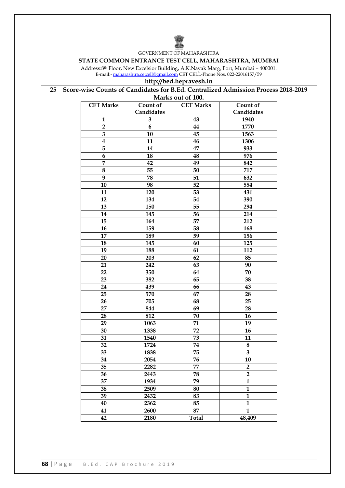

GOVERNMENT OF MAHARASHTRA

#### **STATE COMMON ENTRANCE TEST CELL, MAHARASHTRA, MUMBAI**

Address:8th Floor, New Excelsior Building, A.K.Nayak Marg, Fort, Mumbai – 400001. E-mail:- <u>[maharashtra.cetcell@gmail.com](mailto:maharashtra.cetcell@gmail.com)</u> CET CELL-Phone Nos. 022-22016157/59

### **http://bed.hepravesh.in**

#### **25 Score-wise Counts of Candidates for B.Ed. Centralized Admission Process 2018-2019**

| Marks out of 100. |              |                  |                         |  |  |
|-------------------|--------------|------------------|-------------------------|--|--|
| <b>CET Marks</b>  | Count of     | <b>CET Marks</b> | Count of                |  |  |
|                   | Candidates   |                  | Candidates              |  |  |
| $\mathbf{1}$      | $\mathbf{3}$ | 43               | 1940                    |  |  |
| $\overline{2}$    | 6            | 44               | 1770                    |  |  |
| 3                 | 10           | 45               | 1563                    |  |  |
| 4                 | 11           | 46               | 1306                    |  |  |
| 5                 | 14           | 47               | 933                     |  |  |
| 6                 | 18           | 48               | 976                     |  |  |
| 7                 | 42           | 49               | 842                     |  |  |
| 8                 | 55           | 50               | 717                     |  |  |
| 9                 | 78           | 51               | 632                     |  |  |
| 10                | 98           | 52               | 554                     |  |  |
| 11                | 120          | 53               | 431                     |  |  |
| 12                | 134          | 54               | 390                     |  |  |
| 13                | 150          | 55               | 294                     |  |  |
| 14                | 145          | 56               | 214                     |  |  |
| 15                | 164          | 57               | 212                     |  |  |
| 16                | 159          | 58               | 168                     |  |  |
| 17                | 189          | 59               | 156                     |  |  |
| 18                | 145          | 60               | 125                     |  |  |
| 19                | 188          | 61               | 112                     |  |  |
| 20                | 203          | 62               | 85                      |  |  |
| 21                | 242          | 63               | 90                      |  |  |
| 22                | 350          | 64               | 70                      |  |  |
| 23                | 382          | 65               | 38                      |  |  |
| 24                | 439          | 66               | 43                      |  |  |
| 25                | 570          | 67               | 28                      |  |  |
| 26                | 705          | 68               | 25                      |  |  |
| 27                | 844          | 69               | 28                      |  |  |
| 28                | 812          | 70               | 16                      |  |  |
| 29                | 1063         | 71               | 19                      |  |  |
| 30                | 1338         | 72               | 16                      |  |  |
| 31                | 1540         | 73               | 11                      |  |  |
| 32                | 1724         | 74               | 8                       |  |  |
| 33                | 1838         | 75               | ${\bf 3}$               |  |  |
| 34                | 2054         | 76               | 10                      |  |  |
| 35                | 2282         | 77               | $\overline{2}$          |  |  |
| 36                | 2443         | 78               | $\overline{\mathbf{2}}$ |  |  |
| 37                | 1934         | 79               | $\mathbf{1}$            |  |  |
| 38                | 2509         | 80               | $\mathbf{1}$            |  |  |
| 39                | 2432         | 83               | $\mathbf{1}$            |  |  |
| 40                | 2362         | 85               | $\mathbf{1}$            |  |  |
| 41                | 2600         | 87               | $\mathbf{1}$            |  |  |
| 42                | 2180         | <b>Total</b>     | 48,409                  |  |  |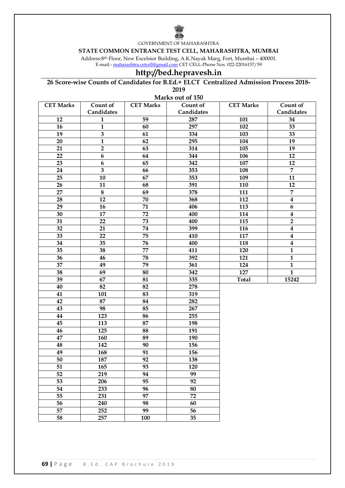

GOVERNMENT OF MAHARASHTRA

#### **STATE COMMON ENTRANCE TEST CELL, MAHARASHTRA, MUMBAI**

Address:8th Floor, New Excelsior Building, A.K.Nayak Marg, Fort, Mumbai – 400001. E-mail:- <u>[maharashtra.cetcell@gmail.com](mailto:maharashtra.cetcell@gmail.com)</u> CET CELL-Phone Nos. 022-22016157/59

# **http://bed.hepravesh.in**

**26 Score-wise Counts of Candidates for B.Ed.+ ELCT Centralized Admission Process 2018-** 

**Marks out of 150**

| <b>CET Marks</b><br>Count of<br>Count of<br><b>CET Marks</b><br><b>CET Marks</b><br>Count of<br>Candidates<br>Candidates<br>Candidates<br>59<br>12<br>$\mathbf{1}$<br>287<br>101<br>34<br>16<br>$\mathbf{1}$<br>60<br>297<br>102<br>33<br>$\overline{\mathbf{3}}$<br>19<br>61<br>334<br>103<br>33<br>$\overline{1}$<br>20<br>62<br>295<br>104<br>19<br>21<br>$\mathbf 2$<br>105<br>63<br>314<br>19<br>22<br>$\boldsymbol{6}$<br>64<br>344<br>106<br>12<br>23<br>65<br>107<br>$\boldsymbol{6}$<br>342<br>12<br>$\overline{\mathbf{3}}$<br>$\overline{7}$<br>66<br>24<br>353<br>108<br>25<br>67<br>10<br>353<br>109<br>11<br>26<br>11<br>68<br>391<br>110<br>12<br>27<br>$\bf 8$<br>$\overline{7}$<br>69<br>378<br>111<br>$\overline{\mathbf{4}}$<br>28<br>12<br>70<br>112<br>368<br>$\boldsymbol{6}$<br>29<br>71<br>16<br>406<br>113<br>$\boldsymbol{4}$<br>30<br>17<br>72<br>400<br>114<br>$\overline{2}$<br>73<br>31<br>22<br>400<br>115<br>32<br>74<br>399<br>21<br>116<br>$\boldsymbol{4}$<br>75<br>117<br>33<br>22<br>$\boldsymbol{4}$<br>410<br>76<br>34<br>35<br>118<br>$\boldsymbol{4}$<br>400<br>35<br>77<br>$\mathbf{1}$<br>38<br>411<br>120<br>36<br>78<br>46<br>$\mathbf{1}$<br>392<br>121<br>37<br>79<br>49<br>124<br>$\mathbf{1}$<br>361<br>$\overline{1}$<br>$\overline{38}$<br>$\frac{127}{2}$<br>69<br>80<br>342<br>39<br>67<br>81<br>335<br>15242<br><b>Total</b><br>40<br>82<br>82<br>278<br>83<br>41<br>101<br>319<br>87<br>42<br>282<br>84<br>98<br>43<br>85<br>267<br>44<br>123<br>86<br>255<br>87<br>45<br>113<br>198<br>46<br>125<br>88<br>191<br>47<br>89<br>160<br>190<br>48<br>142<br>90<br>156<br>91<br>49<br>168<br>156<br>50<br>187<br>92<br>138<br>51<br>93<br>165<br>120 | <b>IVIGHAS UGH UL 190</b> |     |    |    |  |  |  |
|---------------------------------------------------------------------------------------------------------------------------------------------------------------------------------------------------------------------------------------------------------------------------------------------------------------------------------------------------------------------------------------------------------------------------------------------------------------------------------------------------------------------------------------------------------------------------------------------------------------------------------------------------------------------------------------------------------------------------------------------------------------------------------------------------------------------------------------------------------------------------------------------------------------------------------------------------------------------------------------------------------------------------------------------------------------------------------------------------------------------------------------------------------------------------------------------------------------------------------------------------------------------------------------------------------------------------------------------------------------------------------------------------------------------------------------------------------------------------------------------------------------------------------------------------------------------------------------------------------------------------------------------------------------------------------------------------------|---------------------------|-----|----|----|--|--|--|
|                                                                                                                                                                                                                                                                                                                                                                                                                                                                                                                                                                                                                                                                                                                                                                                                                                                                                                                                                                                                                                                                                                                                                                                                                                                                                                                                                                                                                                                                                                                                                                                                                                                                                                         |                           |     |    |    |  |  |  |
|                                                                                                                                                                                                                                                                                                                                                                                                                                                                                                                                                                                                                                                                                                                                                                                                                                                                                                                                                                                                                                                                                                                                                                                                                                                                                                                                                                                                                                                                                                                                                                                                                                                                                                         |                           |     |    |    |  |  |  |
|                                                                                                                                                                                                                                                                                                                                                                                                                                                                                                                                                                                                                                                                                                                                                                                                                                                                                                                                                                                                                                                                                                                                                                                                                                                                                                                                                                                                                                                                                                                                                                                                                                                                                                         |                           |     |    |    |  |  |  |
|                                                                                                                                                                                                                                                                                                                                                                                                                                                                                                                                                                                                                                                                                                                                                                                                                                                                                                                                                                                                                                                                                                                                                                                                                                                                                                                                                                                                                                                                                                                                                                                                                                                                                                         |                           |     |    |    |  |  |  |
|                                                                                                                                                                                                                                                                                                                                                                                                                                                                                                                                                                                                                                                                                                                                                                                                                                                                                                                                                                                                                                                                                                                                                                                                                                                                                                                                                                                                                                                                                                                                                                                                                                                                                                         |                           |     |    |    |  |  |  |
|                                                                                                                                                                                                                                                                                                                                                                                                                                                                                                                                                                                                                                                                                                                                                                                                                                                                                                                                                                                                                                                                                                                                                                                                                                                                                                                                                                                                                                                                                                                                                                                                                                                                                                         |                           |     |    |    |  |  |  |
|                                                                                                                                                                                                                                                                                                                                                                                                                                                                                                                                                                                                                                                                                                                                                                                                                                                                                                                                                                                                                                                                                                                                                                                                                                                                                                                                                                                                                                                                                                                                                                                                                                                                                                         |                           |     |    |    |  |  |  |
|                                                                                                                                                                                                                                                                                                                                                                                                                                                                                                                                                                                                                                                                                                                                                                                                                                                                                                                                                                                                                                                                                                                                                                                                                                                                                                                                                                                                                                                                                                                                                                                                                                                                                                         |                           |     |    |    |  |  |  |
|                                                                                                                                                                                                                                                                                                                                                                                                                                                                                                                                                                                                                                                                                                                                                                                                                                                                                                                                                                                                                                                                                                                                                                                                                                                                                                                                                                                                                                                                                                                                                                                                                                                                                                         |                           |     |    |    |  |  |  |
|                                                                                                                                                                                                                                                                                                                                                                                                                                                                                                                                                                                                                                                                                                                                                                                                                                                                                                                                                                                                                                                                                                                                                                                                                                                                                                                                                                                                                                                                                                                                                                                                                                                                                                         |                           |     |    |    |  |  |  |
|                                                                                                                                                                                                                                                                                                                                                                                                                                                                                                                                                                                                                                                                                                                                                                                                                                                                                                                                                                                                                                                                                                                                                                                                                                                                                                                                                                                                                                                                                                                                                                                                                                                                                                         |                           |     |    |    |  |  |  |
|                                                                                                                                                                                                                                                                                                                                                                                                                                                                                                                                                                                                                                                                                                                                                                                                                                                                                                                                                                                                                                                                                                                                                                                                                                                                                                                                                                                                                                                                                                                                                                                                                                                                                                         |                           |     |    |    |  |  |  |
|                                                                                                                                                                                                                                                                                                                                                                                                                                                                                                                                                                                                                                                                                                                                                                                                                                                                                                                                                                                                                                                                                                                                                                                                                                                                                                                                                                                                                                                                                                                                                                                                                                                                                                         |                           |     |    |    |  |  |  |
|                                                                                                                                                                                                                                                                                                                                                                                                                                                                                                                                                                                                                                                                                                                                                                                                                                                                                                                                                                                                                                                                                                                                                                                                                                                                                                                                                                                                                                                                                                                                                                                                                                                                                                         |                           |     |    |    |  |  |  |
|                                                                                                                                                                                                                                                                                                                                                                                                                                                                                                                                                                                                                                                                                                                                                                                                                                                                                                                                                                                                                                                                                                                                                                                                                                                                                                                                                                                                                                                                                                                                                                                                                                                                                                         |                           |     |    |    |  |  |  |
|                                                                                                                                                                                                                                                                                                                                                                                                                                                                                                                                                                                                                                                                                                                                                                                                                                                                                                                                                                                                                                                                                                                                                                                                                                                                                                                                                                                                                                                                                                                                                                                                                                                                                                         |                           |     |    |    |  |  |  |
|                                                                                                                                                                                                                                                                                                                                                                                                                                                                                                                                                                                                                                                                                                                                                                                                                                                                                                                                                                                                                                                                                                                                                                                                                                                                                                                                                                                                                                                                                                                                                                                                                                                                                                         |                           |     |    |    |  |  |  |
|                                                                                                                                                                                                                                                                                                                                                                                                                                                                                                                                                                                                                                                                                                                                                                                                                                                                                                                                                                                                                                                                                                                                                                                                                                                                                                                                                                                                                                                                                                                                                                                                                                                                                                         |                           |     |    |    |  |  |  |
|                                                                                                                                                                                                                                                                                                                                                                                                                                                                                                                                                                                                                                                                                                                                                                                                                                                                                                                                                                                                                                                                                                                                                                                                                                                                                                                                                                                                                                                                                                                                                                                                                                                                                                         |                           |     |    |    |  |  |  |
|                                                                                                                                                                                                                                                                                                                                                                                                                                                                                                                                                                                                                                                                                                                                                                                                                                                                                                                                                                                                                                                                                                                                                                                                                                                                                                                                                                                                                                                                                                                                                                                                                                                                                                         |                           |     |    |    |  |  |  |
|                                                                                                                                                                                                                                                                                                                                                                                                                                                                                                                                                                                                                                                                                                                                                                                                                                                                                                                                                                                                                                                                                                                                                                                                                                                                                                                                                                                                                                                                                                                                                                                                                                                                                                         |                           |     |    |    |  |  |  |
|                                                                                                                                                                                                                                                                                                                                                                                                                                                                                                                                                                                                                                                                                                                                                                                                                                                                                                                                                                                                                                                                                                                                                                                                                                                                                                                                                                                                                                                                                                                                                                                                                                                                                                         |                           |     |    |    |  |  |  |
|                                                                                                                                                                                                                                                                                                                                                                                                                                                                                                                                                                                                                                                                                                                                                                                                                                                                                                                                                                                                                                                                                                                                                                                                                                                                                                                                                                                                                                                                                                                                                                                                                                                                                                         |                           |     |    |    |  |  |  |
|                                                                                                                                                                                                                                                                                                                                                                                                                                                                                                                                                                                                                                                                                                                                                                                                                                                                                                                                                                                                                                                                                                                                                                                                                                                                                                                                                                                                                                                                                                                                                                                                                                                                                                         |                           |     |    |    |  |  |  |
|                                                                                                                                                                                                                                                                                                                                                                                                                                                                                                                                                                                                                                                                                                                                                                                                                                                                                                                                                                                                                                                                                                                                                                                                                                                                                                                                                                                                                                                                                                                                                                                                                                                                                                         |                           |     |    |    |  |  |  |
|                                                                                                                                                                                                                                                                                                                                                                                                                                                                                                                                                                                                                                                                                                                                                                                                                                                                                                                                                                                                                                                                                                                                                                                                                                                                                                                                                                                                                                                                                                                                                                                                                                                                                                         |                           |     |    |    |  |  |  |
|                                                                                                                                                                                                                                                                                                                                                                                                                                                                                                                                                                                                                                                                                                                                                                                                                                                                                                                                                                                                                                                                                                                                                                                                                                                                                                                                                                                                                                                                                                                                                                                                                                                                                                         |                           |     |    |    |  |  |  |
|                                                                                                                                                                                                                                                                                                                                                                                                                                                                                                                                                                                                                                                                                                                                                                                                                                                                                                                                                                                                                                                                                                                                                                                                                                                                                                                                                                                                                                                                                                                                                                                                                                                                                                         |                           |     |    |    |  |  |  |
|                                                                                                                                                                                                                                                                                                                                                                                                                                                                                                                                                                                                                                                                                                                                                                                                                                                                                                                                                                                                                                                                                                                                                                                                                                                                                                                                                                                                                                                                                                                                                                                                                                                                                                         |                           |     |    |    |  |  |  |
|                                                                                                                                                                                                                                                                                                                                                                                                                                                                                                                                                                                                                                                                                                                                                                                                                                                                                                                                                                                                                                                                                                                                                                                                                                                                                                                                                                                                                                                                                                                                                                                                                                                                                                         |                           |     |    |    |  |  |  |
|                                                                                                                                                                                                                                                                                                                                                                                                                                                                                                                                                                                                                                                                                                                                                                                                                                                                                                                                                                                                                                                                                                                                                                                                                                                                                                                                                                                                                                                                                                                                                                                                                                                                                                         |                           |     |    |    |  |  |  |
|                                                                                                                                                                                                                                                                                                                                                                                                                                                                                                                                                                                                                                                                                                                                                                                                                                                                                                                                                                                                                                                                                                                                                                                                                                                                                                                                                                                                                                                                                                                                                                                                                                                                                                         |                           |     |    |    |  |  |  |
|                                                                                                                                                                                                                                                                                                                                                                                                                                                                                                                                                                                                                                                                                                                                                                                                                                                                                                                                                                                                                                                                                                                                                                                                                                                                                                                                                                                                                                                                                                                                                                                                                                                                                                         |                           |     |    |    |  |  |  |
|                                                                                                                                                                                                                                                                                                                                                                                                                                                                                                                                                                                                                                                                                                                                                                                                                                                                                                                                                                                                                                                                                                                                                                                                                                                                                                                                                                                                                                                                                                                                                                                                                                                                                                         |                           |     |    |    |  |  |  |
|                                                                                                                                                                                                                                                                                                                                                                                                                                                                                                                                                                                                                                                                                                                                                                                                                                                                                                                                                                                                                                                                                                                                                                                                                                                                                                                                                                                                                                                                                                                                                                                                                                                                                                         |                           |     |    |    |  |  |  |
|                                                                                                                                                                                                                                                                                                                                                                                                                                                                                                                                                                                                                                                                                                                                                                                                                                                                                                                                                                                                                                                                                                                                                                                                                                                                                                                                                                                                                                                                                                                                                                                                                                                                                                         |                           |     |    |    |  |  |  |
|                                                                                                                                                                                                                                                                                                                                                                                                                                                                                                                                                                                                                                                                                                                                                                                                                                                                                                                                                                                                                                                                                                                                                                                                                                                                                                                                                                                                                                                                                                                                                                                                                                                                                                         |                           |     |    |    |  |  |  |
|                                                                                                                                                                                                                                                                                                                                                                                                                                                                                                                                                                                                                                                                                                                                                                                                                                                                                                                                                                                                                                                                                                                                                                                                                                                                                                                                                                                                                                                                                                                                                                                                                                                                                                         | 52                        | 219 | 94 | 99 |  |  |  |
| 53<br>95<br>92<br>206                                                                                                                                                                                                                                                                                                                                                                                                                                                                                                                                                                                                                                                                                                                                                                                                                                                                                                                                                                                                                                                                                                                                                                                                                                                                                                                                                                                                                                                                                                                                                                                                                                                                                   |                           |     |    |    |  |  |  |
| 54<br>233<br>96<br>80                                                                                                                                                                                                                                                                                                                                                                                                                                                                                                                                                                                                                                                                                                                                                                                                                                                                                                                                                                                                                                                                                                                                                                                                                                                                                                                                                                                                                                                                                                                                                                                                                                                                                   |                           |     |    |    |  |  |  |
| 55<br>97<br>72<br>231                                                                                                                                                                                                                                                                                                                                                                                                                                                                                                                                                                                                                                                                                                                                                                                                                                                                                                                                                                                                                                                                                                                                                                                                                                                                                                                                                                                                                                                                                                                                                                                                                                                                                   |                           |     |    |    |  |  |  |
| 56<br>98<br>240<br>60                                                                                                                                                                                                                                                                                                                                                                                                                                                                                                                                                                                                                                                                                                                                                                                                                                                                                                                                                                                                                                                                                                                                                                                                                                                                                                                                                                                                                                                                                                                                                                                                                                                                                   |                           |     |    |    |  |  |  |
| 57<br>252<br>99<br>56                                                                                                                                                                                                                                                                                                                                                                                                                                                                                                                                                                                                                                                                                                                                                                                                                                                                                                                                                                                                                                                                                                                                                                                                                                                                                                                                                                                                                                                                                                                                                                                                                                                                                   |                           |     |    |    |  |  |  |
| 58<br>257<br>35<br>100                                                                                                                                                                                                                                                                                                                                                                                                                                                                                                                                                                                                                                                                                                                                                                                                                                                                                                                                                                                                                                                                                                                                                                                                                                                                                                                                                                                                                                                                                                                                                                                                                                                                                  |                           |     |    |    |  |  |  |